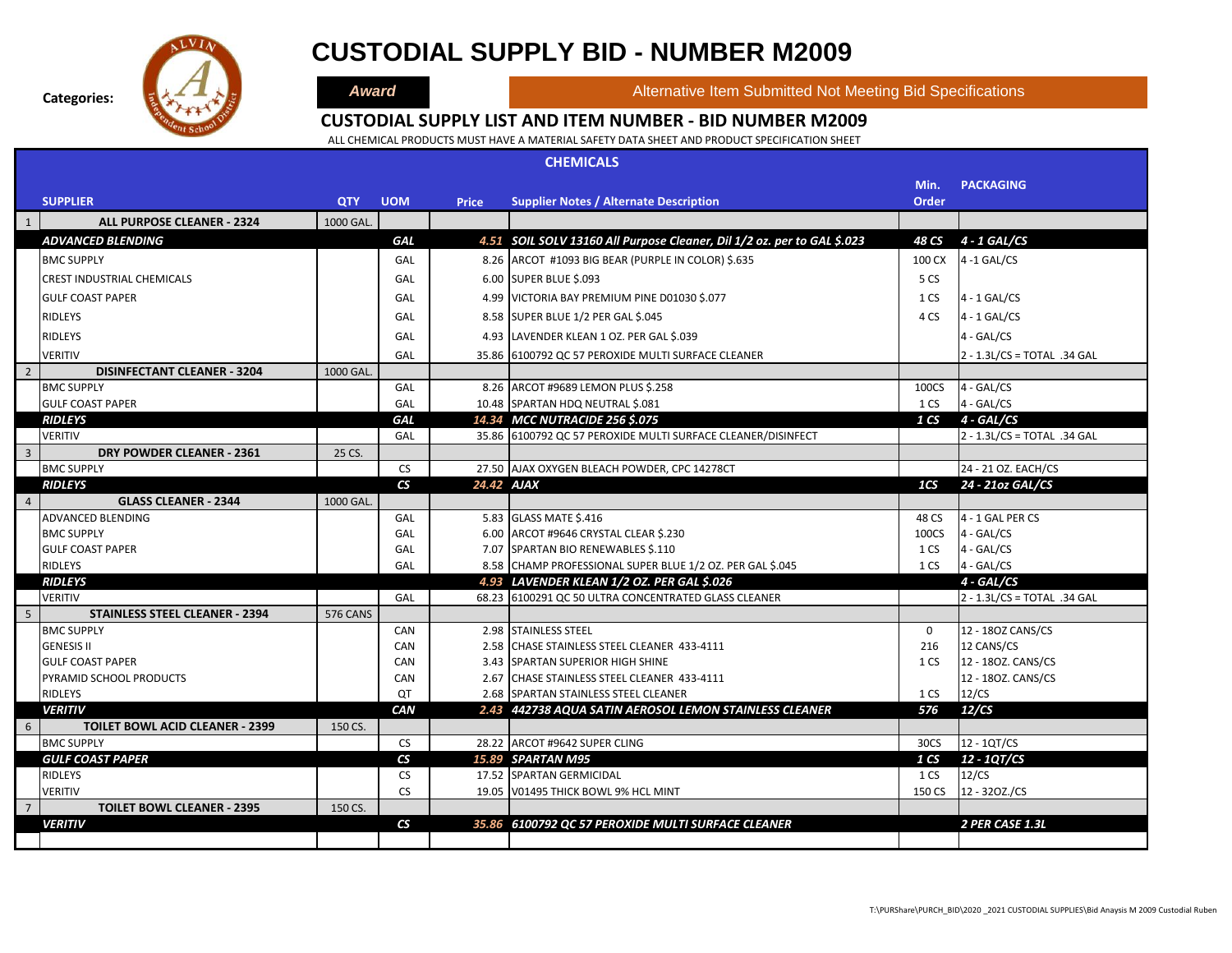

### **CUSTODIAL SUPPLY BID - NUMBER M2009**

**Award Alternative Item Submitted Not Meeting Bid Specifications** 

#### **CUSTODIAL SUPPLY LIST AND ITEM NUMBER - BID NUMBER M2009**

|                         | <b>CHEMICALS</b>                                         |                 |                           |              |                                                                         |             |                                |  |  |  |  |  |
|-------------------------|----------------------------------------------------------|-----------------|---------------------------|--------------|-------------------------------------------------------------------------|-------------|--------------------------------|--|--|--|--|--|
|                         |                                                          |                 |                           |              |                                                                         | Min.        | <b>PACKAGING</b>               |  |  |  |  |  |
|                         | <b>SUPPLIER</b>                                          | <b>QTY</b>      | <b>UOM</b>                | <b>Price</b> | <b>Supplier Notes / Alternate Description</b>                           | Order       |                                |  |  |  |  |  |
| $\mathbf{1}$            | <b>ALL PURPOSE CLEANER - 2324</b>                        | <b>1000 GAL</b> |                           |              |                                                                         |             |                                |  |  |  |  |  |
|                         | <b>ADVANCED BLENDING</b>                                 |                 | <b>GAL</b>                |              | 4.51 SOIL SOLV 13160 All Purpose Cleaner, Dil 1/2 oz. per to GAL \$.023 | 48 CS       | 4 - 1 GAL/CS                   |  |  |  |  |  |
|                         | <b>BMC SUPPLY</b>                                        |                 | GAL                       |              | 8.26 ARCOT #1093 BIG BEAR (PURPLE IN COLOR) \$.635                      | 100 CX      | $4 - 1$ GAL/CS                 |  |  |  |  |  |
|                         | <b>CREST INDUSTRIAL CHEMICALS</b>                        |                 | GAL                       |              | 6.00 SUPER BLUE \$.093                                                  | 5 CS        |                                |  |  |  |  |  |
|                         | <b>GULF COAST PAPER</b>                                  |                 | GAL                       |              | 4.99 VICTORIA BAY PREMIUM PINE D01030 \$.077                            | 1 CS        | $4 - 1$ GAL/CS                 |  |  |  |  |  |
|                         | <b>RIDLEYS</b>                                           |                 | GAL                       |              | 8.58 SUPER BLUE 1/2 PER GAL \$.045                                      | 4 CS        | $4 - 1$ GAL/CS                 |  |  |  |  |  |
|                         | <b>RIDLEYS</b>                                           |                 | GAL                       |              | 4.93 LAVENDER KLEAN 1 OZ. PER GAL \$.039                                |             | 4 - GAL/CS                     |  |  |  |  |  |
|                         | <b>VERITIV</b>                                           |                 | GAL                       |              |                                                                         |             |                                |  |  |  |  |  |
| 2                       | <b>DISINFECTANT CLEANER - 3204</b>                       | 1000 GAL.       |                           |              | 35.86 6100792 QC 57 PEROXIDE MULTI SURFACE CLEANER                      |             | $2 - 1.3$ L/CS = TOTAL .34 GAL |  |  |  |  |  |
|                         | <b>BMC SUPPLY</b>                                        |                 | GAL                       |              | 8.26 ARCOT #9689 LEMON PLUS \$.258                                      | 100CS       | $4 - GAL/CS$                   |  |  |  |  |  |
|                         | <b>GULF COAST PAPER</b>                                  |                 | GAL                       |              | 10.48 SPARTAN HDQ NEUTRAL \$.081                                        | 1 CS        | 4 - GAL/CS                     |  |  |  |  |  |
|                         | <b>RIDLEYS</b>                                           |                 | <b>GAL</b>                |              | 14.34 MCC NUTRACIDE 256 \$.075                                          |             | $1CS$ 4 - GAL/CS               |  |  |  |  |  |
|                         | <b>VERITIV</b>                                           |                 | GAL                       |              | 35.86 6100792 QC 57 PEROXIDE MULTI SURFACE CLEANER/DISINFECT            |             | $2 - 1.3$ L/CS = TOTAL .34 GAL |  |  |  |  |  |
| $\overline{\mathbf{3}}$ | DRY POWDER CLEANER - 2361                                | 25 CS.          |                           |              |                                                                         |             |                                |  |  |  |  |  |
|                         | <b>BMC SUPPLY</b>                                        |                 | CS.                       |              | 27.50 AJAX OXYGEN BLEACH POWDER, CPC 14278CT                            |             | 24 - 21 OZ. EACH/CS            |  |  |  |  |  |
|                         | <b>RIDLEYS</b>                                           |                 | $\overline{\mathsf{c}}$ s | 24.42 AJAX   |                                                                         | 1CS         | 24 - 21oz GAL/CS               |  |  |  |  |  |
| $\overline{4}$          | <b>GLASS CLEANER - 2344</b><br><b>ADVANCED BLENDING</b>  | <b>1000 GAL</b> | GAL                       |              |                                                                         | 48 CS       | 4 - 1 GAL PER CS               |  |  |  |  |  |
|                         | <b>BMC SUPPLY</b>                                        |                 | GAL                       |              | 5.83 GLASS MATE \$.416<br>6.00 ARCOT #9646 CRYSTAL CLEAR \$.230         | 100CS       | $4 - GAL/CS$                   |  |  |  |  |  |
|                         | <b>GULF COAST PAPER</b>                                  |                 | GAL                       |              | 7.07 SPARTAN BIO RENEWABLES \$.110                                      | 1 CS        | 4 - GAL/CS                     |  |  |  |  |  |
|                         | RIDLEYS                                                  |                 | GAL                       |              | 8.58 CHAMP PROFESSIONAL SUPER BLUE 1/2 OZ. PER GAL \$.045               | 1 CS        | 4 - GAL/CS                     |  |  |  |  |  |
|                         | <b>RIDLEYS</b>                                           |                 |                           |              | 4.93 LAVENDER KLEAN 1/2 OZ. PER GAL \$.026                              |             | 4 - GAL/CS                     |  |  |  |  |  |
|                         | <b>VERITIV</b>                                           |                 | GAL                       |              | 68.23 6100291 QC 50 ULTRA CONCENTRATED GLASS CLEANER                    |             | 2 - 1.3L/CS = TOTAL .34 GAL    |  |  |  |  |  |
| -5                      | <b>STAINLESS STEEL CLEANER - 2394</b>                    | <b>576 CANS</b> |                           |              |                                                                         |             |                                |  |  |  |  |  |
|                         | <b>BMC SUPPLY</b>                                        |                 | CAN                       |              | 2.98 STAINLESS STEEL                                                    | $\mathbf 0$ | 12 - 180Z CANS/CS              |  |  |  |  |  |
|                         | <b>GENESIS II</b>                                        |                 | CAN                       |              | 2.58 CHASE STAINLESS STEEL CLEANER 433-4111                             | 216         | 12 CANS/CS                     |  |  |  |  |  |
|                         | <b>GULF COAST PAPER</b>                                  |                 | CAN                       |              | 3.43 SPARTAN SUPERIOR HIGH SHINE                                        | 1 CS        | 12 - 180Z. CANS/CS             |  |  |  |  |  |
|                         | PYRAMID SCHOOL PRODUCTS                                  |                 | CAN                       |              | 2.67 CHASE STAINLESS STEEL CLEANER 433-4111                             |             | 12 - 180Z. CANS/CS             |  |  |  |  |  |
|                         | RIDLEYS                                                  |                 | <b>QT</b>                 |              | 2.68 SPARTAN STAINLESS STEEL CLEANER                                    | 1 CS        | 12/CS                          |  |  |  |  |  |
| 6                       | <b>VERITIV</b><br><b>TOILET BOWL ACID CLEANER - 2399</b> |                 | CAN                       |              | 2.43 442738 AQUA SATIN AEROSOL LEMON STAINLESS CLEANER                  | 576         | 12/CS                          |  |  |  |  |  |
|                         | <b>BMC SUPPLY</b>                                        | 150 CS.         | <b>CS</b>                 |              | 28.22 ARCOT #9642 SUPER CLING                                           | 30CS        | 12 - 1QT/CS                    |  |  |  |  |  |
|                         | <b>GULF COAST PAPER</b>                                  |                 | $\overline{\mathsf{c}}$ s |              | 15.89 SPARTAN M95                                                       | 1 CS        | 12 - 1QT/CS                    |  |  |  |  |  |
|                         | <b>RIDLEYS</b>                                           |                 | <b>CS</b>                 |              | 17.52 SPARTAN GERMICIDAL                                                | 1 CS        | 12/CS                          |  |  |  |  |  |
|                         | <b>VERITIV</b>                                           |                 | <b>CS</b>                 |              | 19.05 V01495 THICK BOWL 9% HCL MINT                                     | 150 CS      | 12 - 320Z./CS                  |  |  |  |  |  |
| $\overline{7}$          | <b>TOILET BOWL CLEANER - 2395</b>                        | 150 CS.         |                           |              |                                                                         |             |                                |  |  |  |  |  |
|                         | <b>VERITIV</b>                                           |                 | $\mathbf{c}$              |              | 35.86 6100792 QC 57 PEROXIDE MULTI SURFACE CLEANER                      |             | 2 PER CASE 1.3L                |  |  |  |  |  |
|                         |                                                          |                 |                           |              |                                                                         |             |                                |  |  |  |  |  |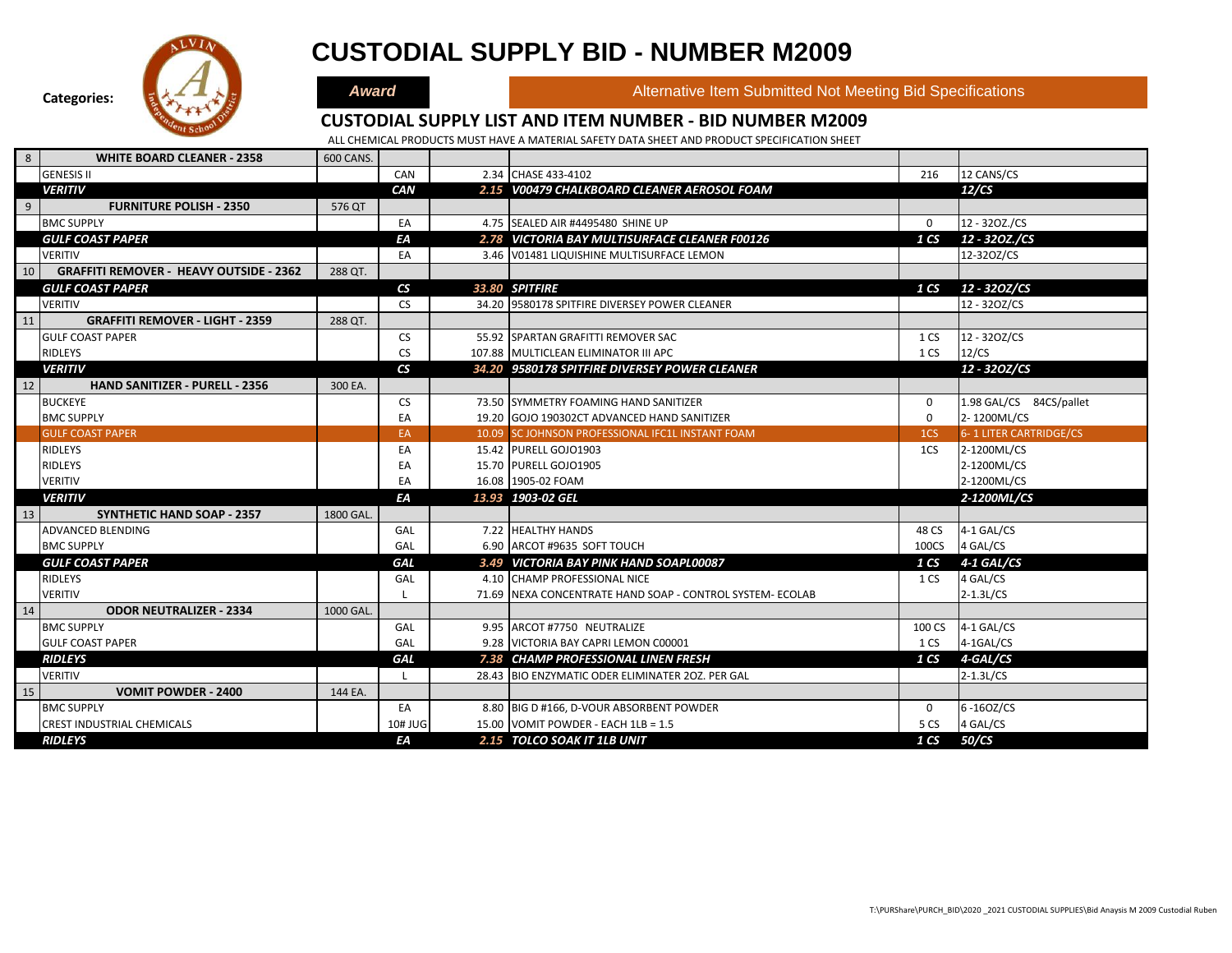

# **CUSTODIAL SUPPLY BID - NUMBER M2009**

**Award Alternative Item Submitted Not Meeting Bid Specifications** 

### **CUSTODIAL SUPPLY LIST AND ITEM NUMBER - BID NUMBER M2009**

| 8  | <b>WHITE BOARD CLEANER - 2358</b>              | 600 CANS. |                          |                                                          |                 |                         |
|----|------------------------------------------------|-----------|--------------------------|----------------------------------------------------------|-----------------|-------------------------|
|    | <b>GENESIS II</b>                              |           | CAN                      | 2.34 CHASE 433-4102                                      | 216             | 12 CANS/CS              |
|    | <b>VERITIV</b>                                 |           | CAN                      | 2.15 V00479 CHALKBOARD CLEANER AEROSOL FOAM              |                 | 12/CS                   |
| 9  | <b>FURNITURE POLISH - 2350</b>                 | 576 QT    |                          |                                                          |                 |                         |
|    | <b>BMC SUPPLY</b>                              |           | EA                       | 4.75 SEALED AIR #4495480 SHINE UP                        | $\Omega$        | 12 - 320Z./CS           |
|    | <b>GULF COAST PAPER</b>                        |           | ΕA                       | 2.78 VICTORIA BAY MULTISURFACE CLEANER F00126            | 1 <sub>CS</sub> | 12 - 320Z./CS           |
|    | <b>VERITIV</b>                                 |           | EA                       | 3.46 V01481 LIQUISHINE MULTISURFACE LEMON                |                 | 12-320Z/CS              |
| 10 | <b>GRAFFITI REMOVER - HEAVY OUTSIDE - 2362</b> | 288 QT.   |                          |                                                          |                 |                         |
|    | <b>GULF COAST PAPER</b>                        |           | $\mathbf{c}$             | 33.80 SPITFIRE                                           | 1 CS            | 12 - 320Z/CS            |
|    | <b>VERITIV</b>                                 |           | <b>CS</b>                | 34.20 9580178 SPITFIRE DIVERSEY POWER CLEANER            |                 | 12 - 320Z/CS            |
| 11 | <b>GRAFFITI REMOVER - LIGHT - 2359</b>         | 288 QT.   |                          |                                                          |                 |                         |
|    | <b>GULF COAST PAPER</b>                        |           | <b>CS</b>                | 55.92 SPARTAN GRAFITTI REMOVER SAC                       | 1 CS            | 12 - 320Z/CS            |
|    | <b>RIDLEYS</b>                                 |           | <b>CS</b>                | 107.88 MULTICLEAN ELIMINATOR III APC                     | 1 CS            | 12/CS                   |
|    | <b>VERITIV</b>                                 |           | $\mathsf{CS}\phantom{0}$ | 34.20 9580178 SPITFIRE DIVERSEY POWER CLEANER            |                 | 12 - 320Z/CS            |
| 12 | <b>HAND SANITIZER - PURELL - 2356</b>          | 300 EA.   |                          |                                                          |                 |                         |
|    | <b>BUCKEYE</b>                                 |           | <b>CS</b>                | 73.50 SYMMETRY FOAMING HAND SANITIZER                    | $\mathbf 0$     | 1.98 GAL/CS 84CS/pallet |
|    | <b>BMC SUPPLY</b>                              |           | EA                       | 19.20 GOJO 190302CT ADVANCED HAND SANITIZER              | $\mathbf 0$     | 2-1200ML/CS             |
|    | <b>GULF COAST PAPER</b>                        |           | EA                       | 10.09 SC JOHNSON PROFESSIONAL IFC1L INSTANT FOAM         | 1 <sub>CS</sub> | 6-1 LITER CARTRIDGE/CS  |
|    | <b>RIDLEYS</b>                                 |           | EA                       | 15.42 PURELL GOJO1903                                    | 1CS             | 2-1200ML/CS             |
|    | <b>RIDLEYS</b>                                 |           | EA                       | 15.70 PURELL GOJO1905                                    |                 | 2-1200ML/CS             |
|    | <b>VERITIV</b>                                 |           | EA                       | 16.08 1905-02 FOAM                                       |                 | 2-1200ML/CS             |
|    | <b>VERITIV</b>                                 |           | ΕA                       | 13.93 1903-02 GEL                                        |                 | 2-1200ML/CS             |
| 13 | <b>SYNTHETIC HAND SOAP - 2357</b>              | 1800 GAL. |                          |                                                          |                 |                         |
|    | <b>ADVANCED BLENDING</b>                       |           | GAL                      | 7.22 HEALTHY HANDS                                       | 48 CS           | 4-1 GAL/CS              |
|    | <b>BMC SUPPLY</b>                              |           | GAL                      | 6.90 ARCOT #9635 SOFT TOUCH                              | 100CS           | 4 GAL/CS                |
|    | <b>GULF COAST PAPER</b>                        |           | <b>GAL</b>               | 3.49 VICTORIA BAY PINK HAND SOAPL00087                   | 1 <sub>CS</sub> | 4-1 GAL/CS              |
|    | <b>RIDLEYS</b>                                 |           | GAL                      | 4.10 CHAMP PROFESSIONAL NICE                             | 1 CS            | 4 GAL/CS                |
|    | <b>VERITIV</b>                                 |           |                          | 71.69 NEXA CONCENTRATE HAND SOAP - CONTROL SYSTEM-ECOLAB |                 | $2-1.3L/CS$             |
| 14 | <b>ODOR NEUTRALIZER - 2334</b>                 | 1000 GAL. |                          |                                                          |                 |                         |
|    | <b>BMC SUPPLY</b>                              |           | GAL                      | 9.95 ARCOT #7750 NEUTRALIZE                              | 100 CS          | 4-1 GAL/CS              |
|    | <b>GULF COAST PAPER</b>                        |           | GAL                      | 9.28 VICTORIA BAY CAPRI LEMON C00001                     | 1 CS            | 4-1GAL/CS               |
|    | <b>RIDLEYS</b>                                 |           | <b>GAL</b>               | 7.38 CHAMP PROFESSIONAL LINEN FRESH                      | 1 <sub>CS</sub> | 4-GAL/CS                |
|    | <b>VERITIV</b>                                 |           |                          | 28.43 BIO ENZYMATIC ODER ELIMINATER 20Z. PER GAL         |                 | $2-1.3L/CS$             |
| 15 | <b>VOMIT POWDER - 2400</b>                     | 144 EA.   |                          |                                                          |                 |                         |
|    | <b>BMC SUPPLY</b>                              |           | EA                       | 8.80 BIG D #166, D-VOUR ABSORBENT POWDER                 | $\mathbf 0$     | 6-160Z/CS               |
|    | <b>CREST INDUSTRIAL CHEMICALS</b>              |           | 10# JUG                  | 15.00 VOMIT POWDER - EACH 1LB = 1.5                      | 5 CS            | 4 GAL/CS                |
|    | <b>RIDLEYS</b>                                 |           | ΕA                       | 2.15 TOLCO SOAK IT 1LB UNIT                              | 1 <sub>CS</sub> | 50/CS                   |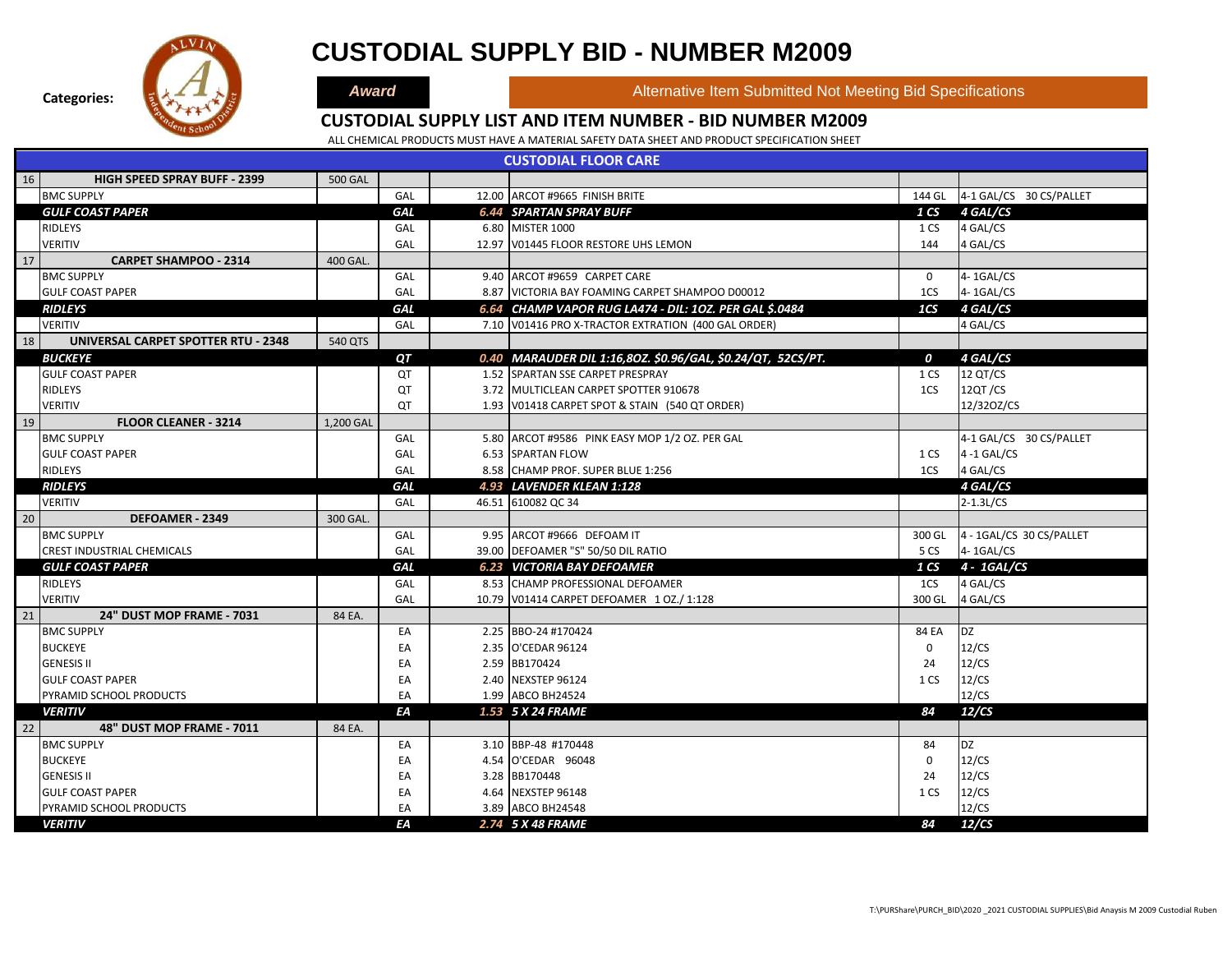

### **CUSTODIAL SUPPLY BID - NUMBER M2009**

**Award Alternative Item Submitted Not Meeting Bid Specifications** 

#### **CUSTODIAL SUPPLY LIST AND ITEM NUMBER - BID NUMBER M2009**

|    | <b>CUSTODIAL FLOOR CARE</b>         |                |            |  |                                                             |                 |                          |  |  |  |  |  |  |
|----|-------------------------------------|----------------|------------|--|-------------------------------------------------------------|-----------------|--------------------------|--|--|--|--|--|--|
| 16 | <b>HIGH SPEED SPRAY BUFF - 2399</b> | <b>500 GAL</b> |            |  |                                                             |                 |                          |  |  |  |  |  |  |
|    | <b>BMC SUPPLY</b>                   |                | GAL        |  | 12.00 ARCOT #9665 FINISH BRITE                              | 144 GL          | 4-1 GAL/CS 30 CS/PALLET  |  |  |  |  |  |  |
|    | <b>GULF COAST PAPER</b>             |                | <b>GAL</b> |  | <b>6.44 SPARTAN SPRAY BUFF</b>                              | 1 CS            | 4 GAL/CS                 |  |  |  |  |  |  |
|    | <b>RIDLEYS</b>                      |                | GAL        |  | 6.80 MISTER 1000                                            | 1 CS            | 4 GAL/CS                 |  |  |  |  |  |  |
|    | <b>VERITIV</b>                      |                | GAL        |  | 12.97 V01445 FLOOR RESTORE UHS LEMON                        | 144             | 4 GAL/CS                 |  |  |  |  |  |  |
| 17 | <b>CARPET SHAMPOO - 2314</b>        | 400 GAL.       |            |  |                                                             |                 |                          |  |  |  |  |  |  |
|    | <b>BMC SUPPLY</b>                   |                | GAL        |  | 9.40 ARCOT #9659 CARPET CARE                                | $\mathbf 0$     | 4-1GAL/CS                |  |  |  |  |  |  |
|    | <b>GULF COAST PAPER</b>             |                | GAL        |  | 8.87 VICTORIA BAY FOAMING CARPET SHAMPOO D00012             | 1CS             | 4-1GAL/CS                |  |  |  |  |  |  |
|    | <b>RIDLEYS</b>                      |                | <b>GAL</b> |  | 6.64 CHAMP VAPOR RUG LA474 - DIL: 10Z. PER GAL \$.0484      | 1 <sub>CS</sub> | 4 GAL/CS                 |  |  |  |  |  |  |
|    | <b>VERITIV</b>                      |                | GAL        |  | 7.10 V01416 PRO X-TRACTOR EXTRATION (400 GAL ORDER)         |                 | 4 GAL/CS                 |  |  |  |  |  |  |
| 18 | UNIVERSAL CARPET SPOTTER RTU - 2348 | 540 QTS        |            |  |                                                             |                 |                          |  |  |  |  |  |  |
|    | <b>BUCKEYE</b>                      |                | QT         |  | 0.40 MARAUDER DIL 1:16,80Z. \$0.96/GAL, \$0.24/QT, 52CS/PT. | 0               | 4 GAL/CS                 |  |  |  |  |  |  |
|    | <b>GULF COAST PAPER</b>             |                | QT         |  | 1.52 SPARTAN SSE CARPET PRESPRAY                            | 1 CS            | 12 QT/CS                 |  |  |  |  |  |  |
|    | <b>RIDLEYS</b>                      |                | QT         |  | 3.72 MULTICLEAN CARPET SPOTTER 910678                       | 1CS             | 12QT/CS                  |  |  |  |  |  |  |
|    | <b>VERITIV</b>                      |                | QT         |  | 1.93 V01418 CARPET SPOT & STAIN (540 QT ORDER)              |                 | 12/320Z/CS               |  |  |  |  |  |  |
| 19 | <b>FLOOR CLEANER - 3214</b>         | 1,200 GAL      |            |  |                                                             |                 |                          |  |  |  |  |  |  |
|    | <b>BMC SUPPLY</b>                   |                | GAL        |  | 5.80 ARCOT #9586 PINK EASY MOP 1/2 OZ. PER GAL              |                 | 4-1 GAL/CS 30 CS/PALLET  |  |  |  |  |  |  |
|    | <b>GULF COAST PAPER</b>             |                | GAL        |  | 6.53 SPARTAN FLOW                                           | 1 CS            | $4 - 1$ GAL/CS           |  |  |  |  |  |  |
|    | <b>RIDLEYS</b>                      |                | GAL        |  | 8.58 CHAMP PROF. SUPER BLUE 1:256                           | 1CS             | 4 GAL/CS                 |  |  |  |  |  |  |
|    | <b>RIDLEYS</b>                      |                | <b>GAL</b> |  | 4.93 LAVENDER KLEAN 1:128                                   |                 | 4 GAL/CS                 |  |  |  |  |  |  |
|    | <b>VERITIV</b>                      |                | GAL        |  | 46.51 610082 QC 34                                          |                 | $2 - 1.3$ L/CS           |  |  |  |  |  |  |
| 20 | <b>DEFOAMER - 2349</b>              | 300 GAL.       |            |  |                                                             |                 |                          |  |  |  |  |  |  |
|    | <b>BMC SUPPLY</b>                   |                | GAL        |  | 9.95 ARCOT #9666 DEFOAM IT                                  | 300 GL          | 4 - 1GAL/CS 30 CS/PALLET |  |  |  |  |  |  |
|    | <b>CREST INDUSTRIAL CHEMICALS</b>   |                | GAL        |  | 39.00 DEFOAMER "S" 50/50 DIL RATIO                          | 5 CS            | $4 - 1$ GAL/CS           |  |  |  |  |  |  |
|    | <b>GULF COAST PAPER</b>             |                | <b>GAL</b> |  | <b>6.23 VICTORIA BAY DEFOAMER</b>                           | 1 CS            | 4 - 1GAL/CS              |  |  |  |  |  |  |
|    | <b>RIDLEYS</b>                      |                | GAL        |  | 8.53 CHAMP PROFESSIONAL DEFOAMER                            | 1CS             | 4 GAL/CS                 |  |  |  |  |  |  |
|    | <b>VERITIV</b>                      |                | GAL        |  | 10.79 V01414 CARPET DEFOAMER 1 OZ./ 1:128                   | 300 GL          | 4 GAL/CS                 |  |  |  |  |  |  |
| 21 | 24" DUST MOP FRAME - 7031           | 84 EA.         |            |  |                                                             |                 |                          |  |  |  |  |  |  |
|    | <b>BMC SUPPLY</b>                   |                | EA         |  | 2.25 BBO-24 #170424                                         | 84 EA           | DZ                       |  |  |  |  |  |  |
|    | <b>BUCKEYE</b>                      |                | EA         |  | 2.35 O'CEDAR 96124                                          | 0               | 12/CS                    |  |  |  |  |  |  |
|    | <b>GENESIS II</b>                   |                | EA         |  | 2.59 BB170424                                               | 24              | 12/CS                    |  |  |  |  |  |  |
|    | <b>GULF COAST PAPER</b>             |                | EA         |  | 2.40 NEXSTEP 96124                                          | 1 CS            | 12/CS                    |  |  |  |  |  |  |
|    | PYRAMID SCHOOL PRODUCTS             |                | EA         |  | 1.99 ABCO BH24524                                           |                 | 12/CS                    |  |  |  |  |  |  |
|    | <b>VERITIV</b>                      |                | EА         |  | 1.53 5 X 24 FRAME                                           | 84              | 12/CS                    |  |  |  |  |  |  |
| 22 | <b>48" DUST MOP FRAME - 7011</b>    | 84 EA.         |            |  |                                                             |                 |                          |  |  |  |  |  |  |
|    | <b>BMC SUPPLY</b>                   |                | EA         |  | 3.10 BBP-48 #170448                                         | 84              | <b>DZ</b>                |  |  |  |  |  |  |
|    | <b>BUCKEYE</b>                      |                | EA         |  | 4.54 O'CEDAR 96048                                          | $\mathbf 0$     | 12/CS                    |  |  |  |  |  |  |
|    | <b>GENESIS II</b>                   |                | EA         |  | 3.28 BB170448                                               | 24              | 12/CS                    |  |  |  |  |  |  |
|    | <b>GULF COAST PAPER</b>             |                | EA         |  | 4.64 NEXSTEP 96148                                          | 1 CS            | 12/CS                    |  |  |  |  |  |  |
|    | PYRAMID SCHOOL PRODUCTS             |                | EA         |  | 3.89 ABCO BH24548                                           |                 | 12/CS                    |  |  |  |  |  |  |
|    | <b>VERITIV</b>                      |                | ΕA         |  | 2.74 5 X 48 FRAME                                           | 84              | 12/CS                    |  |  |  |  |  |  |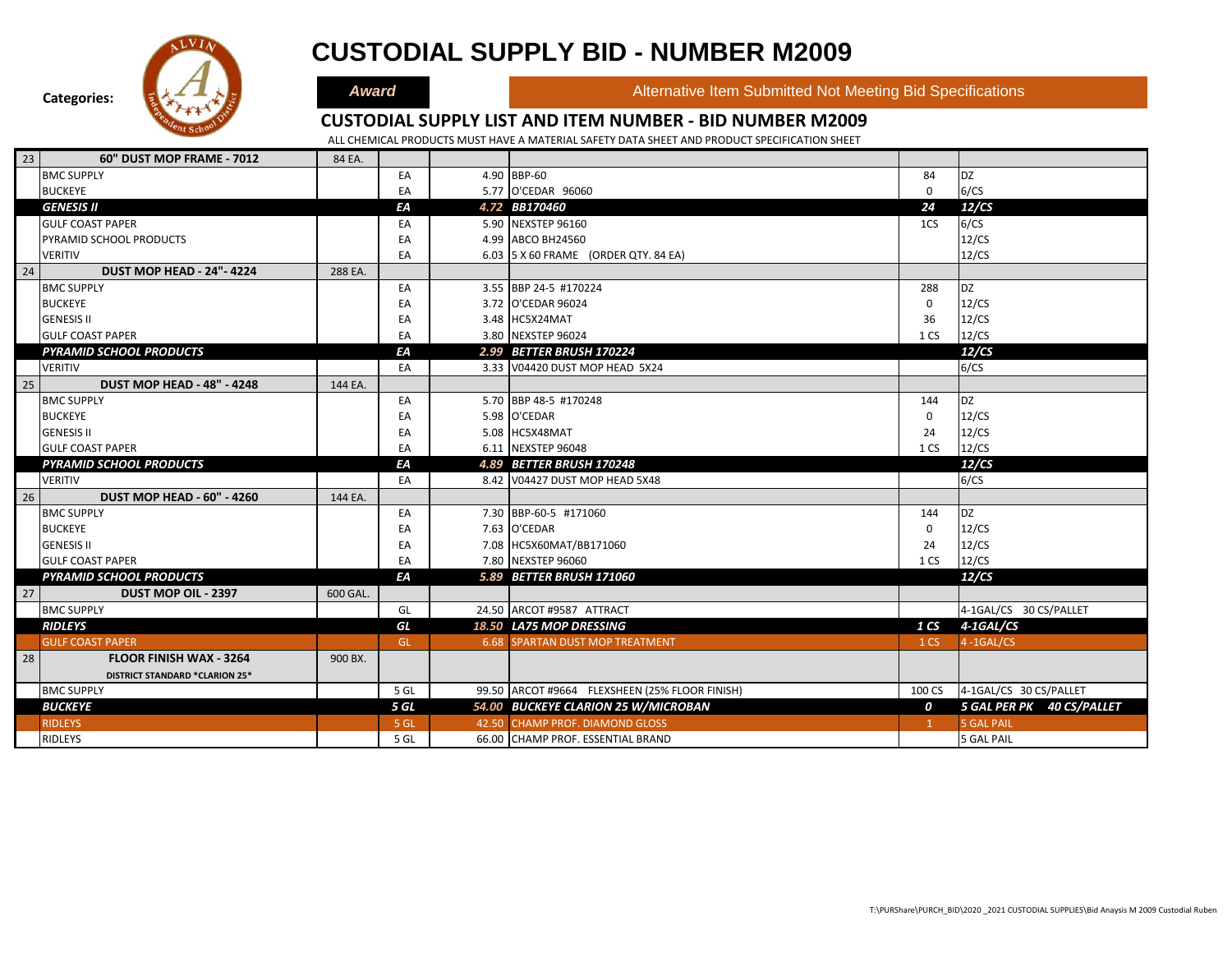

### **CUSTODIAL SUPPLY BID - NUMBER M2009**

**Award Alternative Item Submitted Not Meeting Bid Specifications** 

#### **CUSTODIAL SUPPLY LIST AND ITEM NUMBER - BID NUMBER M2009**

| 23 | 60" DUST MOP FRAME - 7012             | 84 EA.   |      |                                                |                 |                           |
|----|---------------------------------------|----------|------|------------------------------------------------|-----------------|---------------------------|
|    | <b>BMC SUPPLY</b>                     |          | EA   | 4.90 BBP-60                                    | 84              | <b>DZ</b>                 |
|    | <b>BUCKEYE</b>                        |          | EA   | 5.77 O'CEDAR 96060                             | $\mathbf 0$     | 6/CS                      |
|    | <b>GENESIS II</b>                     |          | EA   | 4.72 BB170460                                  | 24              | 12/CS                     |
|    | <b>GULF COAST PAPER</b>               |          | EA   | 5.90 NEXSTEP 96160                             | 1CS             | 6/CS                      |
|    | PYRAMID SCHOOL PRODUCTS               |          | EA   | 4.99 ABCO BH24560                              |                 | 12/CS                     |
|    | <b>VERITIV</b>                        |          | EA   | 6.03 5 X 60 FRAME (ORDER QTY. 84 EA)           |                 | 12/CS                     |
| 24 | <b>DUST MOP HEAD - 24"-4224</b>       | 288 EA.  |      |                                                |                 |                           |
|    | <b>BMC SUPPLY</b>                     |          | EA   | 3.55 BBP 24-5 #170224                          | 288             | <b>DZ</b>                 |
|    | <b>BUCKEYE</b>                        |          | EA   | 3.72 O'CEDAR 96024                             | 0               | 12/CS                     |
|    | <b>GENESIS II</b>                     |          | EA   | 3.48 HC5X24MAT                                 | 36              | 12/CS                     |
|    | <b>GULF COAST PAPER</b>               |          | EA   | 3.80 NEXSTEP 96024                             | 1 CS            | 12/CS                     |
|    | <b>PYRAMID SCHOOL PRODUCTS</b>        |          | EA   | 2.99 BETTER BRUSH 170224                       |                 | 12/CS                     |
|    | <b>VERITIV</b>                        |          | EA   | 3.33 V04420 DUST MOP HEAD 5X24                 |                 | 6/CS                      |
| 25 | <b>DUST MOP HEAD - 48" - 4248</b>     | 144 EA.  |      |                                                |                 |                           |
|    | <b>BMC SUPPLY</b>                     |          | EA   | 5.70 BBP 48-5 #170248                          | 144             | <b>DZ</b>                 |
|    | <b>BUCKEYE</b>                        |          | EA   | 5.98 O'CEDAR                                   | 0               | 12/CS                     |
|    | <b>GENESIS II</b>                     |          | EA   | 5.08 HC5X48MAT                                 | 24              | 12/CS                     |
|    | <b>GULF COAST PAPER</b>               |          | EA   | 6.11 NEXSTEP 96048                             | 1 CS            | 12/CS                     |
|    | <b>PYRAMID SCHOOL PRODUCTS</b>        |          | EA   | 4.89 BETTER BRUSH 170248                       |                 | 12/CS                     |
|    | <b>VERITIV</b>                        |          | EA   | 8.42 V04427 DUST MOP HEAD 5X48                 |                 | 6/CS                      |
| 26 | <b>DUST MOP HEAD - 60" - 4260</b>     | 144 EA.  |      |                                                |                 |                           |
|    | <b>BMC SUPPLY</b>                     |          | EA   | 7.30 BBP-60-5 #171060                          | 144             | <b>DZ</b>                 |
|    | <b>BUCKEYE</b>                        |          | EA   | 7.63 O'CEDAR                                   | $\mathbf 0$     | 12/CS                     |
|    | <b>GENESIS II</b>                     |          | EA   | 7.08 HC5X60MAT/BB171060                        | 24              | 12/CS                     |
|    | <b>GULF COAST PAPER</b>               |          | EA   | 7.80 NEXSTEP 96060                             | 1 CS            | 12/CS                     |
|    | <b>PYRAMID SCHOOL PRODUCTS</b>        |          | EA   | 5.89 BETTER BRUSH 171060                       |                 | 12/CS                     |
| 27 | DUST MOP OIL - 2397                   | 600 GAL. |      |                                                |                 |                           |
|    | <b>BMC SUPPLY</b>                     |          | GL   | 24.50 ARCOT #9587 ATTRACT                      |                 | 4-1GAL/CS 30 CS/PALLET    |
|    | <b>RIDLEYS</b>                        |          | GL   | 18.50 LA75 MOP DRESSING                        |                 | 1 CS 4-1GAL/CS            |
|    | <b>GULF COAST PAPER</b>               |          | GL   | <b>6.68 SPARTAN DUST MOP TREATMENT</b>         | 1 <sub>CS</sub> | $4 - 1$ GAL/CS            |
| 28 | <b>FLOOR FINISH WAX - 3264</b>        | 900 BX.  |      |                                                |                 |                           |
|    | <b>DISTRICT STANDARD *CLARION 25*</b> |          |      |                                                |                 |                           |
|    | <b>BMC SUPPLY</b>                     |          | 5 GL | 99.50 ARCOT #9664 FLEXSHEEN (25% FLOOR FINISH) | 100 CS          | 4-1GAL/CS 30 CS/PALLET    |
|    | <b>BUCKEYE</b>                        |          | 5 GL | 54.00 BUCKEYE CLARION 25 W/MICROBAN            | 0               | 5 GAL PER PK 40 CS/PALLET |
|    | <b>RIDLEYS</b>                        |          | 5 GL | 42.50 CHAMP PROF. DIAMOND GLOSS                | $\mathbf{1}$    | <b>5 GAL PAIL</b>         |
|    | <b>RIDLEYS</b>                        |          | 5 GL | 66.00 CHAMP PROF. ESSENTIAL BRAND              |                 | <b>5 GAL PAIL</b>         |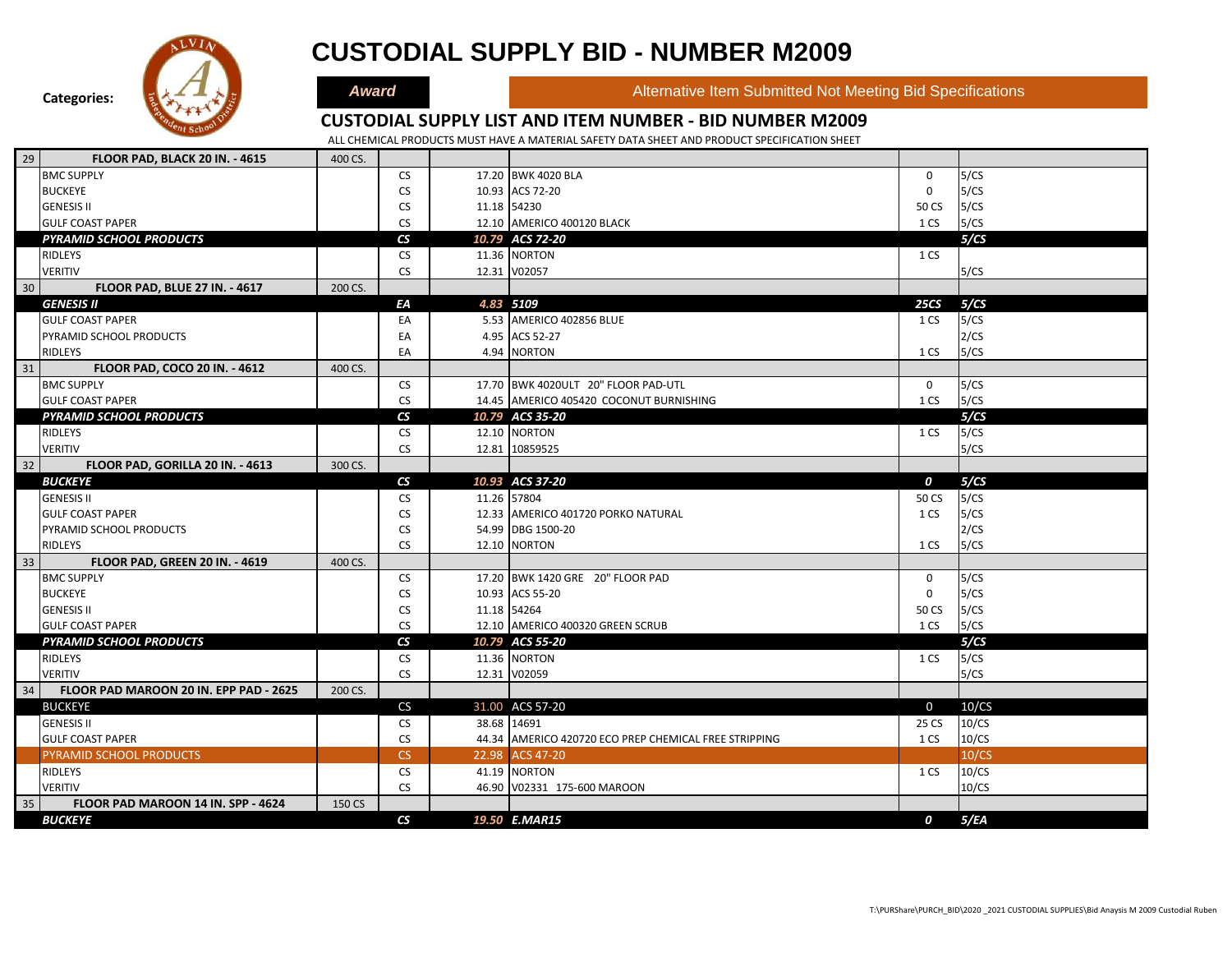

|    | <b>PYRAMID SCHOOL PRODUCTS</b>         |         | $\mathsf{CS}$            | 10.79 ACS 72-20                                       |             | 5/CS  |
|----|----------------------------------------|---------|--------------------------|-------------------------------------------------------|-------------|-------|
|    | <b>RIDLEYS</b>                         |         | <b>CS</b>                | 11.36 NORTON                                          | 1 CS        |       |
|    | <b>VERITIV</b>                         |         | <b>CS</b>                | 12.31 V02057                                          |             | 5/CS  |
| 30 | <b>FLOOR PAD, BLUE 27 IN. - 4617</b>   | 200 CS. |                          |                                                       |             |       |
|    | <b>GENESIS II</b>                      |         | ΕA                       | 4.83 5109                                             | <b>25CS</b> | 5/CS  |
|    | <b>GULF COAST PAPER</b>                |         | EA                       | 5.53 AMERICO 402856 BLUE                              | 1 CS        | 5/CS  |
|    | PYRAMID SCHOOL PRODUCTS                |         | EA                       | 4.95 ACS 52-27                                        |             | 2/CS  |
|    | <b>RIDLEYS</b>                         |         | EA                       | 4.94 NORTON                                           | 1 CS        | 5/CS  |
| 31 | FLOOR PAD, COCO 20 IN. - 4612          | 400 CS. |                          |                                                       |             |       |
|    | <b>BMC SUPPLY</b>                      |         | <b>CS</b>                | 17.70 BWK 4020ULT 20" FLOOR PAD-UTL                   | $\mathbf 0$ | 5/CS  |
|    | <b>GULF COAST PAPER</b>                |         | <b>CS</b>                | 14.45 AMERICO 405420 COCONUT BURNISHING               | 1 CS        | 5/CS  |
|    | <b>PYRAMID SCHOOL PRODUCTS</b>         |         | $\mathsf{CS}\phantom{0}$ | 10.79 ACS 35-20                                       |             | 5/CS  |
|    | <b>RIDLEYS</b>                         |         | <b>CS</b>                | 12.10 NORTON                                          | 1 CS        | 5/CS  |
|    | <b>VERITIV</b>                         |         | <b>CS</b>                | 12.81 10859525                                        |             | 5/CS  |
| 32 | FLOOR PAD, GORILLA 20 IN. - 4613       | 300 CS. |                          |                                                       |             |       |
|    | <b>BUCKEYE</b>                         |         | $\mathsf{CS}\phantom{0}$ | 10.93 ACS 37-20                                       | 0           | 5/CS  |
|    | <b>GENESIS II</b>                      |         | <b>CS</b>                | 11.26 57804                                           | 50 CS       | 5/CS  |
|    | <b>GULF COAST PAPER</b>                |         | <b>CS</b>                | 12.33 AMERICO 401720 PORKO NATURAL                    | 1 CS        | 5/CS  |
|    | PYRAMID SCHOOL PRODUCTS                |         | <b>CS</b>                | 54.99 DBG 1500-20                                     |             | 2/CS  |
|    | <b>RIDLEYS</b>                         |         | <b>CS</b>                | 12.10 NORTON                                          | 1 CS        | 5/CS  |
| 33 | <b>FLOOR PAD, GREEN 20 IN. - 4619</b>  | 400 CS. |                          |                                                       |             |       |
|    | <b>BMC SUPPLY</b>                      |         | <b>CS</b>                | 17.20 BWK 1420 GRE 20" FLOOR PAD                      | 0           | 5/CS  |
|    | <b>BUCKEYE</b>                         |         | <b>CS</b>                | 10.93 ACS 55-20                                       | 0           | 5/CS  |
|    | <b>GENESIS II</b>                      |         | <b>CS</b>                | 11.18 54264                                           | 50 CS       | 5/CS  |
|    | <b>GULF COAST PAPER</b>                |         | <b>CS</b>                | 12.10 AMERICO 400320 GREEN SCRUB                      | 1 CS        | 5/CS  |
|    | <b>PYRAMID SCHOOL PRODUCTS</b>         |         | $\mathsf{CS}\phantom{0}$ | 10.79 ACS 55-20                                       |             | 5/CS  |
|    | <b>RIDLEYS</b>                         |         | <b>CS</b>                | 11.36 NORTON                                          | 1 CS        | 5/CS  |
|    | <b>VERITIV</b>                         |         | <b>CS</b>                | 12.31 V02059                                          |             | 5/CS  |
| 34 | FLOOR PAD MAROON 20 IN. EPP PAD - 2625 | 200 CS. |                          |                                                       |             |       |
|    | <b>BUCKEYE</b>                         |         | CS                       | 31.00 ACS 57-20                                       | $\mathbf 0$ | 10/CS |
|    | <b>GENESIS II</b>                      |         | <b>CS</b>                | 38.68 14691                                           | 25 CS       | 10/CS |
|    | <b>GULF COAST PAPER</b>                |         | <b>CS</b>                | 44.34 AMERICO 420720 ECO PREP CHEMICAL FREE STRIPPING | 1 CS        | 10/CS |
|    | PYRAMID SCHOOL PRODUCTS                |         | CS                       | 22.98 ACS 47-20                                       |             | 10/CS |
|    | <b>RIDLEYS</b>                         |         | <b>CS</b>                | 41.19 NORTON                                          | 1 CS        | 10/CS |
|    | <b>VERITIV</b>                         |         | <b>CS</b>                | 46.90 V02331 175-600 MAROON                           |             | 10/CS |
| 35 | FLOOR PAD MAROON 14 IN, SPP - 4624     | 150 CS  |                          |                                                       |             |       |
|    | <b>BUCKEYE</b>                         |         | $\mathsf{CS}\phantom{0}$ | 19.50 E.MAR15                                         | 0           | 5/EA  |
|    |                                        |         |                          |                                                       |             |       |

**CUSTODIAL SUPPLY BID - NUMBER M2009**

**Categories:**

29 **FLOOR PAD, BLACK 20 IN. - 4615** 400 CS.

**Award Alternative Item Submitted Not Meeting Bid Specifications** 

### **CUSTODIAL SUPPLY LIST AND ITEM NUMBER - BID NUMBER M2009**

ALL CHEMICAL PRODUCTS MUST HAVE A MATERIAL SAFETY DATA SHEET AND PRODUCT SPECIFICATION SHEET

**CHEMICALS** 

BMC SUPPLY CS CS 20.220 BWK 4020 BLA<br>BUCKEYE DELLE CS 10.93 ACS 72-20 20 CS 10.93 ACS 72-20 20 CS 10.94 ACS 72-20 20 CS 20 CS 20 CS 20 CS 20 CS 20 BUCKEYE CS 10.93 ACS 72-20 0 5/CS GENESIS II CS 2006 SENESIS II CS 2006 SENESIS II CS 3/CS 3/CS 50 CS 3/CS 50 CS 50 CS 50 CS 50 CS 50 CS 50 CS 5 GULF COAST PAPER COMPUTER COMPUTER COMPUTER COMPUTER COMPUTER COMPUTER COMPUTER COMPUTER COMPUTER COMPUTER COMPUTER SERVES AND LOSS IN LOSS IS A LOSS IS A LOSS IS A LOSS IS A LOSS IS A LOSS IS A LOSS IS A LOSS IS A LOS IS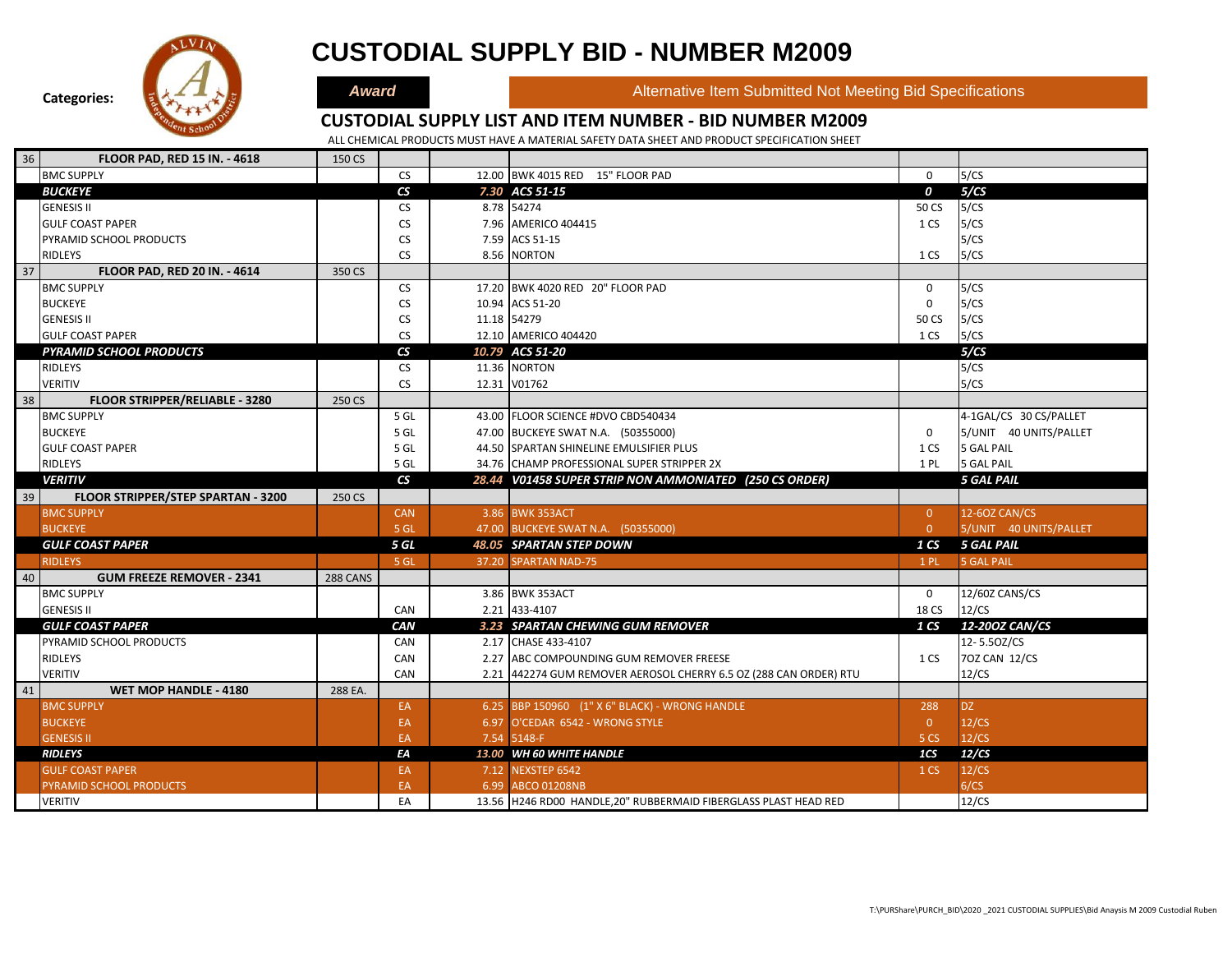

### **CUSTODIAL SUPPLY BID - NUMBER M2009**

**Award Alternative Item Submitted Not Meeting Bid Specifications** 

#### **CUSTODIAL SUPPLY LIST AND ITEM NUMBER - BID NUMBER M2009**

| 36 | FLOOR PAD, RED 15 IN. - 4618          | 150 CS   |                          |                                                                   |                  |                        |
|----|---------------------------------------|----------|--------------------------|-------------------------------------------------------------------|------------------|------------------------|
|    | <b>BMC SUPPLY</b>                     |          | <b>CS</b>                | 12.00 BWK 4015 RED 15" FLOOR PAD                                  | $\mathbf 0$      | 5/CS                   |
|    | <b>BUCKEYE</b>                        |          | $\mathsf{CS}\phantom{0}$ | 7.30 ACS 51-15                                                    | $\boldsymbol{o}$ | 5/CS                   |
|    | <b>GENESIS II</b>                     |          | <b>CS</b>                | 8.78 54274                                                        | 50 CS            | 5/CS                   |
|    | <b>GULF COAST PAPER</b>               |          | <b>CS</b>                | 7.96 AMERICO 404415                                               | 1 CS             | 5/CS                   |
|    | PYRAMID SCHOOL PRODUCTS               |          | CS                       | 7.59 ACS 51-15                                                    |                  | 5/CS                   |
|    | RIDLEYS                               |          | <b>CS</b>                | 8.56 NORTON                                                       | 1 CS             | 5/CS                   |
| 37 | FLOOR PAD, RED 20 IN. - 4614          | 350 CS   |                          |                                                                   |                  |                        |
|    | <b>BMC SUPPLY</b>                     |          | <b>CS</b>                | 17.20 BWK 4020 RED 20" FLOOR PAD                                  | $\mathbf 0$      | 5/CS                   |
|    | <b>BUCKEYE</b>                        |          | <b>CS</b>                | 10.94 ACS 51-20                                                   | 0                | 5/CS                   |
|    | <b>GENESIS II</b>                     |          | <b>CS</b>                | 11.18 54279                                                       | 50 CS            | 5/CS                   |
|    | <b>GULF COAST PAPER</b>               |          | <b>CS</b>                | 12.10 AMERICO 404420                                              | 1 CS             | 5/CS                   |
|    | <b>PYRAMID SCHOOL PRODUCTS</b>        |          | $\mathsf{CS}\phantom{0}$ | 10.79 ACS 51-20                                                   |                  | 5/CS                   |
|    | <b>RIDLEYS</b>                        |          | <b>CS</b>                | 11.36 NORTON                                                      |                  | 5/CS                   |
|    | <b>VERITIV</b>                        |          | <b>CS</b>                | 12.31 V01762                                                      |                  | 5/CS                   |
| 38 | <b>FLOOR STRIPPER/RELIABLE - 3280</b> | 250 CS   |                          |                                                                   |                  |                        |
|    | <b>BMC SUPPLY</b>                     |          | 5 GL                     | 43.00 FLOOR SCIENCE #DVO CBD540434                                |                  | 4-1GAL/CS 30 CS/PALLET |
|    | <b>BUCKEYE</b>                        |          | 5 GL                     | 47.00 BUCKEYE SWAT N.A. (50355000)                                | $\mathbf 0$      | 5/UNIT 40 UNITS/PALLET |
|    | <b>GULF COAST PAPER</b>               |          | 5 GL                     | 44.50 SPARTAN SHINELINE EMULSIFIER PLUS                           | 1 CS             | <b>5 GAL PAIL</b>      |
|    | RIDLEYS                               |          | 5 GL                     | 34.76 CHAMP PROFESSIONAL SUPER STRIPPER 2X                        | 1PL              | <b>5 GAL PAIL</b>      |
|    | <b>VERITIV</b>                        |          | $\mathsf{CS}$            | 28.44 V01458 SUPER STRIP NON AMMONIATED (250 CS ORDER)            |                  | <b>5 GAL PAIL</b>      |
| 39 | FLOOR STRIPPER/STEP SPARTAN - 3200    | 250 CS   |                          |                                                                   |                  |                        |
|    | <b>BMC SUPPLY</b>                     |          | <b>CAN</b>               | 3.86 BWK 353ACT                                                   | $\overline{0}$   | 12-60Z CAN/CS          |
|    | <b>BUCKEYE</b>                        |          | 5 GL                     | 47.00 BUCKEYE SWAT N.A. (50355000)                                | $\overline{0}$   | 5/UNIT 40 UNITS/PALLET |
|    | <b>GULF COAST PAPER</b>               |          | 5 GL                     | 48.05 SPARTAN STEP DOWN                                           | 1 <sub>CS</sub>  | <b>5 GAL PAIL</b>      |
|    | <b>RIDLEYS</b>                        |          | 5 GL                     | 37.20 SPARTAN NAD-75                                              | 1PL              | <b>5 GAL PAIL</b>      |
| 40 | <b>GUM FREEZE REMOVER - 2341</b>      | 288 CANS |                          |                                                                   |                  |                        |
|    | <b>BMC SUPPLY</b>                     |          |                          | 3.86 BWK 353ACT                                                   | 0                | 12/60Z CANS/CS         |
|    | <b>GENESIS II</b>                     |          | CAN                      | 2.21 433-4107                                                     | 18 CS            | 12/CS                  |
|    | <b>GULF COAST PAPER</b>               |          | CAN                      | 3.23 SPARTAN CHEWING GUM REMOVER                                  | 1 <sub>CS</sub>  | 12-200Z CAN/CS         |
|    | PYRAMID SCHOOL PRODUCTS               |          | CAN                      | 2.17 CHASE 433-4107                                               |                  | 12-5.50Z/CS            |
|    | <b>RIDLEYS</b>                        |          | CAN                      | 2.27 ABC COMPOUNDING GUM REMOVER FREESE                           | 1 CS             | 70Z CAN 12/CS          |
|    | <b>VERITIV</b>                        |          | CAN                      | 2.21 442274 GUM REMOVER AEROSOL CHERRY 6.5 OZ (288 CAN ORDER) RTU |                  | 12/CS                  |
| 41 | <b>WET MOP HANDLE - 4180</b>          | 288 EA.  |                          |                                                                   |                  |                        |
|    | <b>BMC SUPPLY</b>                     |          | EA                       | 6.25 BBP 150960 (1" X 6" BLACK) - WRONG HANDLE                    | 288              | DZ.                    |
|    | <b>BUCKEYE</b>                        |          | EA                       | 6.97 O'CEDAR 6542 - WRONG STYLE                                   | $\overline{0}$   | 12/CS                  |
|    | <b>GENESIS II</b>                     |          | EA                       | 7.54 5148-F                                                       | 5 CS             | 12/CS                  |
|    | <b>RIDLEYS</b>                        |          | EA                       | 13.00 WH 60 WHITE HANDLE                                          | 1CS              | 12/CS                  |
|    | <b>GULF COAST PAPER</b>               |          | EA                       | 7.12 NEXSTEP 6542                                                 | 1 <sub>CS</sub>  | 12/CS                  |
|    | PYRAMID SCHOOL PRODUCTS               |          | EA                       | 6.99 ABCO 01208NB                                                 |                  | 6/CS                   |
|    | <b>VERITIV</b>                        |          | EA                       | 13.56 H246 RD00 HANDLE,20" RUBBERMAID FIBERGLASS PLAST HEAD RED   |                  | 12/CS                  |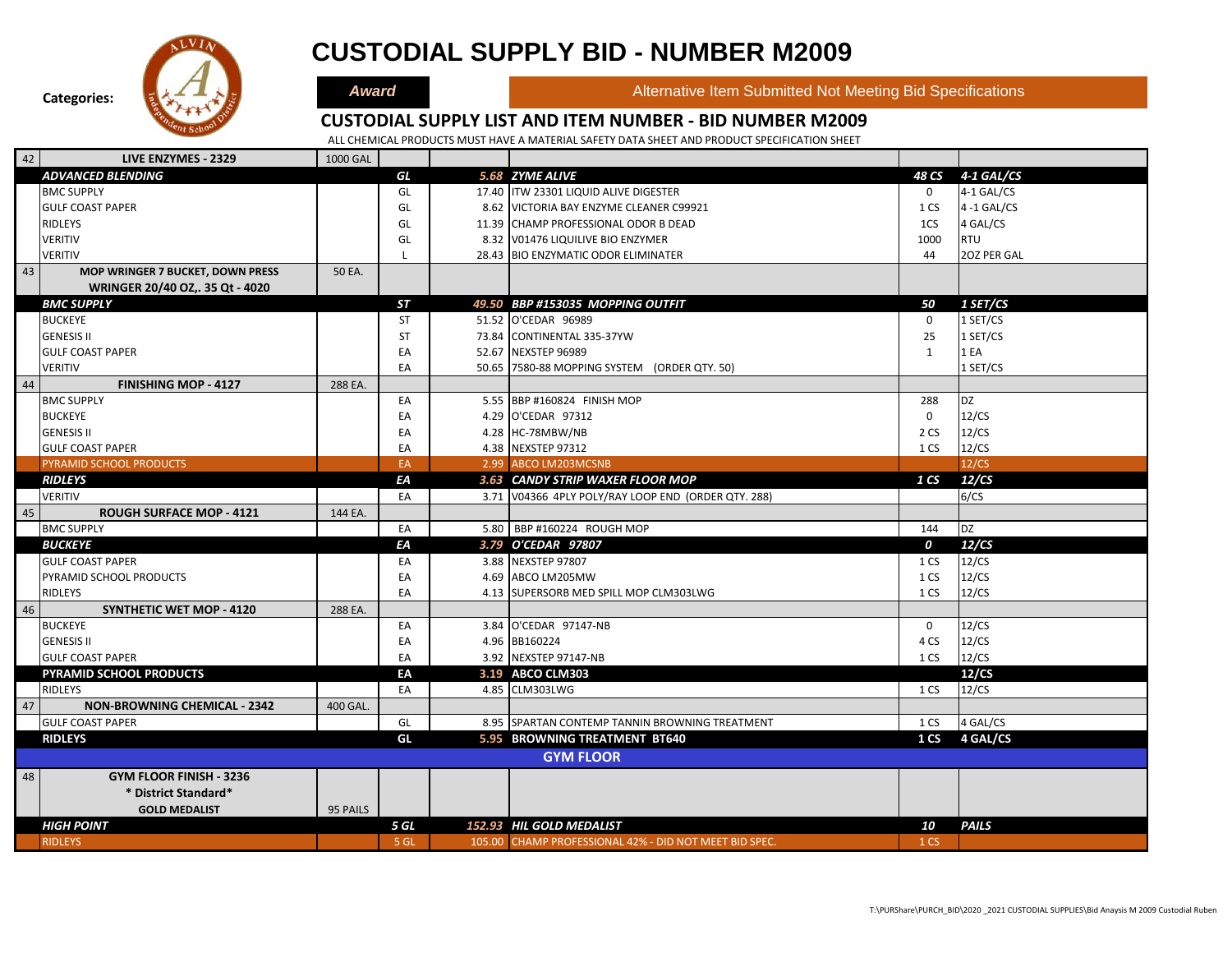

# **CUSTODIAL SUPPLY BID - NUMBER M2009**

**Award Alternative Item Submitted Not Meeting Bid Specifications** 

### **CUSTODIAL SUPPLY LIST AND ITEM NUMBER - BID NUMBER M2009**

| 42 | LIVE ENZYMES - 2329                     | <b>1000 GAL</b> |           |                                                        |                  |                |
|----|-----------------------------------------|-----------------|-----------|--------------------------------------------------------|------------------|----------------|
|    | <b>ADVANCED BLENDING</b>                |                 | GL        | 5.68 ZYME ALIVE                                        |                  | 4-1 GAL/CS     |
|    |                                         |                 |           |                                                        | 48 CS            |                |
|    | <b>BMC SUPPLY</b>                       |                 | GL        | 17.40 ITW 23301 LIQUID ALIVE DIGESTER                  | $\mathbf 0$      | 4-1 GAL/CS     |
|    | <b>GULF COAST PAPER</b>                 |                 | GL        | 8.62 VICTORIA BAY ENZYME CLEANER C99921                | 1 CS             | $4 - 1$ GAL/CS |
|    | <b>RIDLEYS</b>                          |                 | GL        | 11.39 CHAMP PROFESSIONAL ODOR B DEAD                   | 1CS              | 4 GAL/CS       |
|    | <b>VERITIV</b>                          |                 | GL        | 8.32 V01476 LIQUILIVE BIO ENZYMER                      | 1000             | <b>RTU</b>     |
|    | <b>VERITIV</b>                          |                 |           | 28.43 BIO ENZYMATIC ODOR ELIMINATER                    | 44               | 20Z PER GAL    |
| 43 | <b>MOP WRINGER 7 BUCKET, DOWN PRESS</b> | 50 EA.          |           |                                                        |                  |                |
|    | WRINGER 20/40 OZ,. 35 Qt - 4020         |                 |           |                                                        |                  |                |
|    | <b>BMC SUPPLY</b>                       |                 | <b>ST</b> | 49.50 BBP #153035 MOPPING OUTFIT                       | 50               | 1 SET/CS       |
|    | <b>BUCKEYE</b>                          |                 | <b>ST</b> | 51.52 O'CEDAR 96989                                    | $\mathbf 0$      | 1 SET/CS       |
|    | <b>GENESIS II</b>                       |                 | <b>ST</b> | 73.84 CONTINENTAL 335-37YW                             | 25               | 1 SET/CS       |
|    | <b>GULF COAST PAPER</b>                 |                 | EA        | 52.67 NEXSTEP 96989                                    | $\mathbf{1}$     | 1 EA           |
|    | <b>VERITIV</b>                          |                 | EA        | 50.65 7580-88 MOPPING SYSTEM (ORDER QTY. 50)           |                  | 1 SET/CS       |
| 44 | <b>FINISHING MOP - 4127</b>             | 288 EA.         |           |                                                        |                  |                |
|    | <b>BMC SUPPLY</b>                       |                 | EA        | 5.55 BBP #160824 FINISH MOP                            | 288              | DZ             |
|    | <b>BUCKEYE</b>                          |                 | EA        | 4.29 O'CEDAR 97312                                     | $\mathbf 0$      | 12/CS          |
|    | <b>GENESIS II</b>                       |                 | EA        | 4.28 HC-78MBW/NB                                       | 2 CS             | 12/CS          |
|    | <b>GULF COAST PAPER</b>                 |                 | EA        | 4.38 NEXSTEP 97312                                     | 1 CS             | 12/CS          |
|    | <b>PYRAMID SCHOOL PRODUCTS</b>          |                 | EA        | 2.99 ABCO LM203MCSNB                                   |                  | 12/CS          |
|    |                                         |                 |           |                                                        | 1 CS             | 12/CS          |
|    | <b>RIDLEYS</b>                          |                 | ЕA        | 3.63 CANDY STRIP WAXER FLOOR MOP                       |                  |                |
|    | <b>VERITIV</b>                          |                 | EA        | 3.71 V04366 4PLY POLY/RAY LOOP END (ORDER QTY. 288)    |                  | 6/CS           |
| 45 | <b>ROUGH SURFACE MOP - 4121</b>         | 144 EA.         |           |                                                        |                  |                |
|    | <b>BMC SUPPLY</b>                       |                 | EA        | 5.80 BBP #160224 ROUGH MOP                             | 144              | <b>DZ</b>      |
|    | <b>BUCKEYE</b>                          |                 | ΕA        | 3.79 O'CEDAR 97807                                     | $\boldsymbol{o}$ | 12/CS          |
|    | <b>GULF COAST PAPER</b>                 |                 | EA        | 3.88 NEXSTEP 97807                                     | 1 CS             | 12/CS          |
|    | PYRAMID SCHOOL PRODUCTS                 |                 | EA        | 4.69 ABCO LM205MW                                      | 1 CS             | 12/CS          |
|    | <b>RIDLEYS</b>                          |                 | EA        | 4.13 SUPERSORB MED SPILL MOP CLM303LWG                 | 1 CS             | 12/CS          |
| 46 | <b>SYNTHETIC WET MOP - 4120</b>         | 288 EA.         |           |                                                        |                  |                |
|    | <b>BUCKEYE</b>                          |                 | EA        | 3.84 O'CEDAR 97147-NB                                  | $\mathbf 0$      | 12/CS          |
|    | <b>GENESIS II</b>                       |                 | EA        | 4.96 BB160224                                          | 4 CS             | 12/CS          |
|    | <b>GULF COAST PAPER</b>                 |                 | EA        | 3.92 NEXSTEP 97147-NB                                  | 1 CS             | 12/CS          |
|    | <b>PYRAMID SCHOOL PRODUCTS</b>          |                 | EA        | 3.19 ABCO CLM303                                       |                  | 12/CS          |
|    | <b>RIDLEYS</b>                          |                 | EA        | 4.85 CLM303LWG                                         | 1 CS             | 12/CS          |
| 47 | <b>NON-BROWNING CHEMICAL - 2342</b>     | 400 GAL.        |           |                                                        |                  |                |
|    | <b>GULF COAST PAPER</b>                 |                 | GL        | 8.95 SPARTAN CONTEMP TANNIN BROWNING TREATMENT         | 1 CS             | 4 GAL/CS       |
|    | <b>RIDLEYS</b>                          |                 | GL        | 5.95 BROWNING TREATMENT BT640                          | 1 <sub>CS</sub>  | 4 GAL/CS       |
|    |                                         |                 |           | <b>GYM FLOOR</b>                                       |                  |                |
|    |                                         |                 |           |                                                        |                  |                |
| 48 | <b>GYM FLOOR FINISH - 3236</b>          |                 |           |                                                        |                  |                |
|    | * District Standard*                    |                 |           |                                                        |                  |                |
|    | <b>GOLD MEDALIST</b>                    | 95 PAILS        |           |                                                        |                  |                |
|    | <b>HIGH POINT</b>                       |                 | 5 GL      | 152.93 HIL GOLD MEDALIST                               | 10               | <b>PAILS</b>   |
|    | <b>RIDLEYS</b>                          |                 | 5 GL      | 105.00 CHAMP PROFESSIONAL 42% - DID NOT MEET BID SPEC. | 1 CS             |                |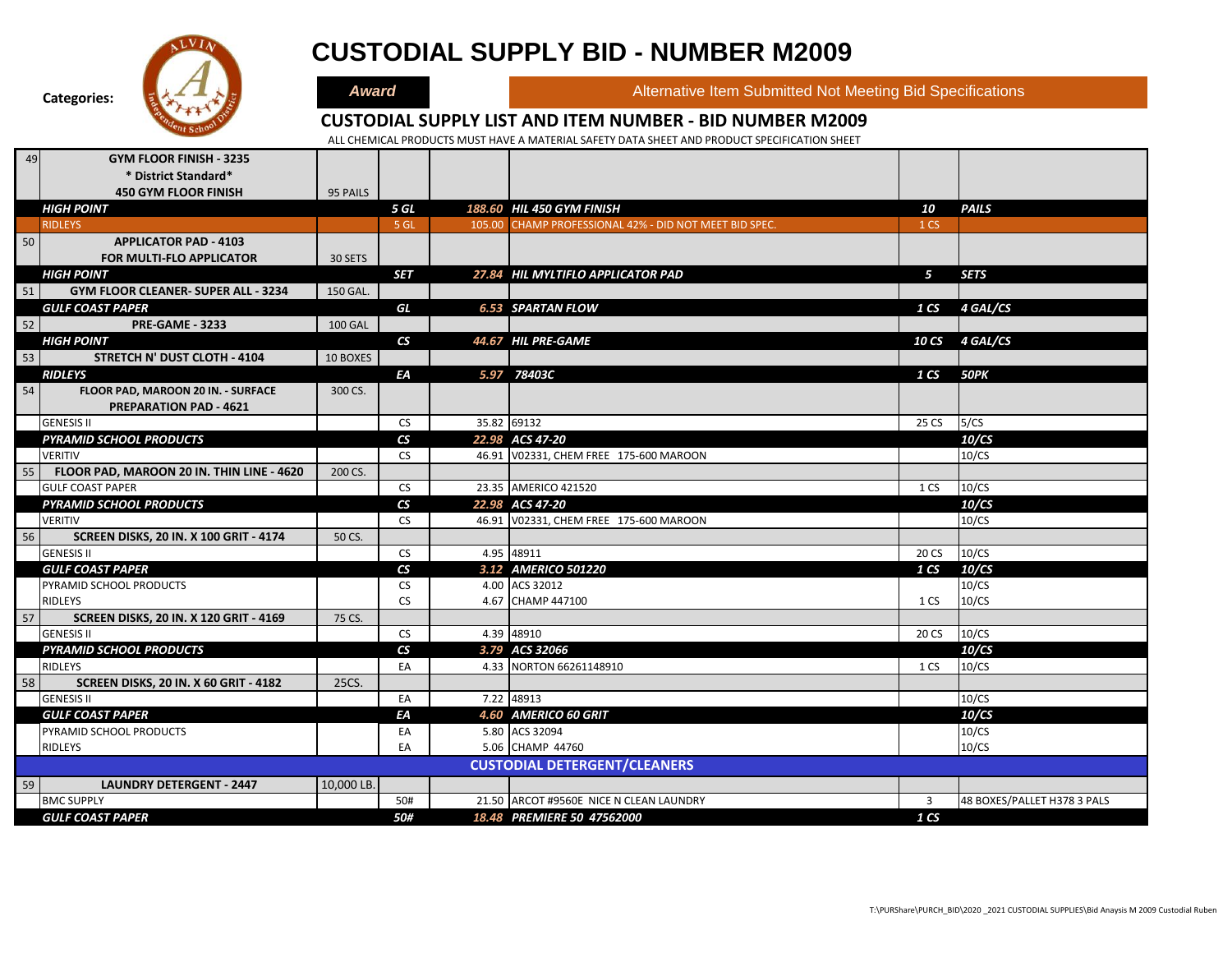

# **CUSTODIAL SUPPLY BID - NUMBER M2009**

**Award Alternative Item Submitted Not Meeting Bid Specifications** 

#### **CUSTODIAL SUPPLY LIST AND ITEM NUMBER - BID NUMBER M2009**

| 49 | <b>GYM FLOOR FINISH - 3235</b>                                    |                |                                |                                                        |                 |                             |
|----|-------------------------------------------------------------------|----------------|--------------------------------|--------------------------------------------------------|-----------------|-----------------------------|
|    | * District Standard*                                              |                |                                |                                                        |                 |                             |
|    | <b>450 GYM FLOOR FINISH</b>                                       | 95 PAILS       |                                |                                                        |                 |                             |
|    | <b>HIGH POINT</b>                                                 |                | 5 GL                           | 188.60 HIL 450 GYM FINISH                              | 10              | <b>PAILS</b>                |
|    | <b>RIDLEYS</b>                                                    |                | 5 GL                           | 105.00 CHAMP PROFESSIONAL 42% - DID NOT MEET BID SPEC. | 1 <sub>CS</sub> |                             |
| 50 | <b>APPLICATOR PAD - 4103</b>                                      |                |                                |                                                        |                 |                             |
|    | <b>FOR MULTI-FLO APPLICATOR</b>                                   | 30 SETS        |                                |                                                        |                 |                             |
|    | <b>HIGH POINT</b>                                                 |                | <b>SET</b>                     | 27.84 HIL MYLTIFLO APPLICATOR PAD                      | 5               | <b>SETS</b>                 |
| 51 | GYM FLOOR CLEANER- SUPER ALL - 3234                               | 150 GAL.       |                                |                                                        |                 |                             |
|    | <b>GULF COAST PAPER</b>                                           |                | GL                             | <b>6.53 SPARTAN FLOW</b>                               |                 | 1 CS 4 GAL/CS               |
| 52 | <b>PRE-GAME - 3233</b>                                            | <b>100 GAL</b> |                                |                                                        |                 |                             |
|    | <b>HIGH POINT</b>                                                 |                | $\mathsf{CS}\phantom{0}$       | 44.67 HIL PRE-GAME                                     |                 | 10 CS 4 GAL/CS              |
| 53 | STRETCH N' DUST CLOTH - 4104                                      | 10 BOXES       |                                |                                                        |                 |                             |
|    | <b>RIDLEYS</b>                                                    |                | ΕA                             | 5.97 78403C                                            | 1 CS 50PK       |                             |
| 54 | FLOOR PAD, MAROON 20 IN. - SURFACE                                | 300 CS.        |                                |                                                        |                 |                             |
|    | <b>PREPARATION PAD - 4621</b>                                     |                |                                |                                                        |                 |                             |
|    | <b>GENESIS II</b>                                                 |                | <b>CS</b>                      | 35.82 69132                                            | 25 CS           | 5/CS                        |
|    | <b>PYRAMID SCHOOL PRODUCTS</b>                                    |                | $\mathsf{CS}\phantom{0}$       | 22.98 ACS 47-20                                        |                 | 10/CS                       |
|    | <b>VERITIV</b>                                                    |                | <b>CS</b>                      | 46.91 V02331, CHEM FREE 175-600 MAROON                 |                 | 10/CS                       |
| 55 | FLOOR PAD, MAROON 20 IN. THIN LINE - 4620                         | 200 CS.        |                                |                                                        |                 |                             |
|    | <b>GULF COAST PAPER</b>                                           |                | <b>CS</b>                      | 23.35 AMERICO 421520                                   | 1 CS            | 10/CS                       |
|    | PYRAMID SCHOOL PRODUCTS                                           |                | $\mathsf{CS}$                  | 22.98 ACS 47-20                                        |                 | 10/CS                       |
|    | <b>VERITIV</b>                                                    |                | <b>CS</b>                      | 46.91 V02331, CHEM FREE 175-600 MAROON                 |                 | 10/CS                       |
| 56 | <b>SCREEN DISKS, 20 IN. X 100 GRIT - 4174</b>                     | 50 CS.         |                                |                                                        |                 |                             |
|    | <b>GENESIS II</b>                                                 |                | <b>CS</b>                      | 4.95 48911                                             | 20 CS           | 10/CS                       |
|    | <b>GULF COAST PAPER</b>                                           |                | $\mathsf{CS}\phantom{0}$       | 3.12 AMERICO 501220                                    | 1 <sub>CS</sub> | 10/CS                       |
|    | PYRAMID SCHOOL PRODUCTS                                           |                | <b>CS</b>                      | 4.00 ACS 32012                                         |                 | 10/CS                       |
|    | <b>RIDLEYS</b>                                                    |                | <b>CS</b>                      | 4.67 CHAMP 447100                                      | 1 CS            | 10/CS                       |
| 57 | <b>SCREEN DISKS, 20 IN. X 120 GRIT - 4169</b>                     | 75 CS.         |                                |                                                        |                 |                             |
|    | <b>GENESIS II</b>                                                 |                | <b>CS</b>                      | 4.39 48910                                             | 20 CS           | 10/CS                       |
|    | <b>PYRAMID SCHOOL PRODUCTS</b><br>RIDLEYS                         |                | $\mathsf{CS}\phantom{0}$<br>EA | 3.79 ACS 32066<br>4.33 NORTON 66261148910              | 1 CS            | 10/CS<br>10/CS              |
| 58 |                                                                   |                |                                |                                                        |                 |                             |
|    | <b>SCREEN DISKS, 20 IN. X 60 GRIT - 4182</b><br><b>GENESIS II</b> | 25CS.          | EA                             | 7.22 48913                                             |                 | 10/CS                       |
|    | <b>GULF COAST PAPER</b>                                           |                | ЕA                             | 4.60 AMERICO 60 GRIT                                   |                 | 10/CS                       |
|    | PYRAMID SCHOOL PRODUCTS                                           |                | EA                             | 5.80 ACS 32094                                         |                 | 10/CS                       |
|    | RIDLEYS                                                           |                | EA                             | 5.06 CHAMP 44760                                       |                 | 10/CS                       |
|    |                                                                   |                |                                | <b>CUSTODIAL DETERGENT/CLEANERS</b>                    |                 |                             |
|    |                                                                   |                |                                |                                                        |                 |                             |
| 59 | <b>LAUNDRY DETERGENT - 2447</b>                                   | 10,000 LB.     |                                |                                                        |                 |                             |
|    | <b>BMC SUPPLY</b>                                                 |                | 50#                            | 21.50 ARCOT #9560E NICE N CLEAN LAUNDRY                | $\overline{3}$  | 48 BOXES/PALLET H378 3 PALS |
|    | <b>GULF COAST PAPER</b>                                           |                | 50#                            | 18.48 PREMIERE 50 47562000                             | 1 CS            |                             |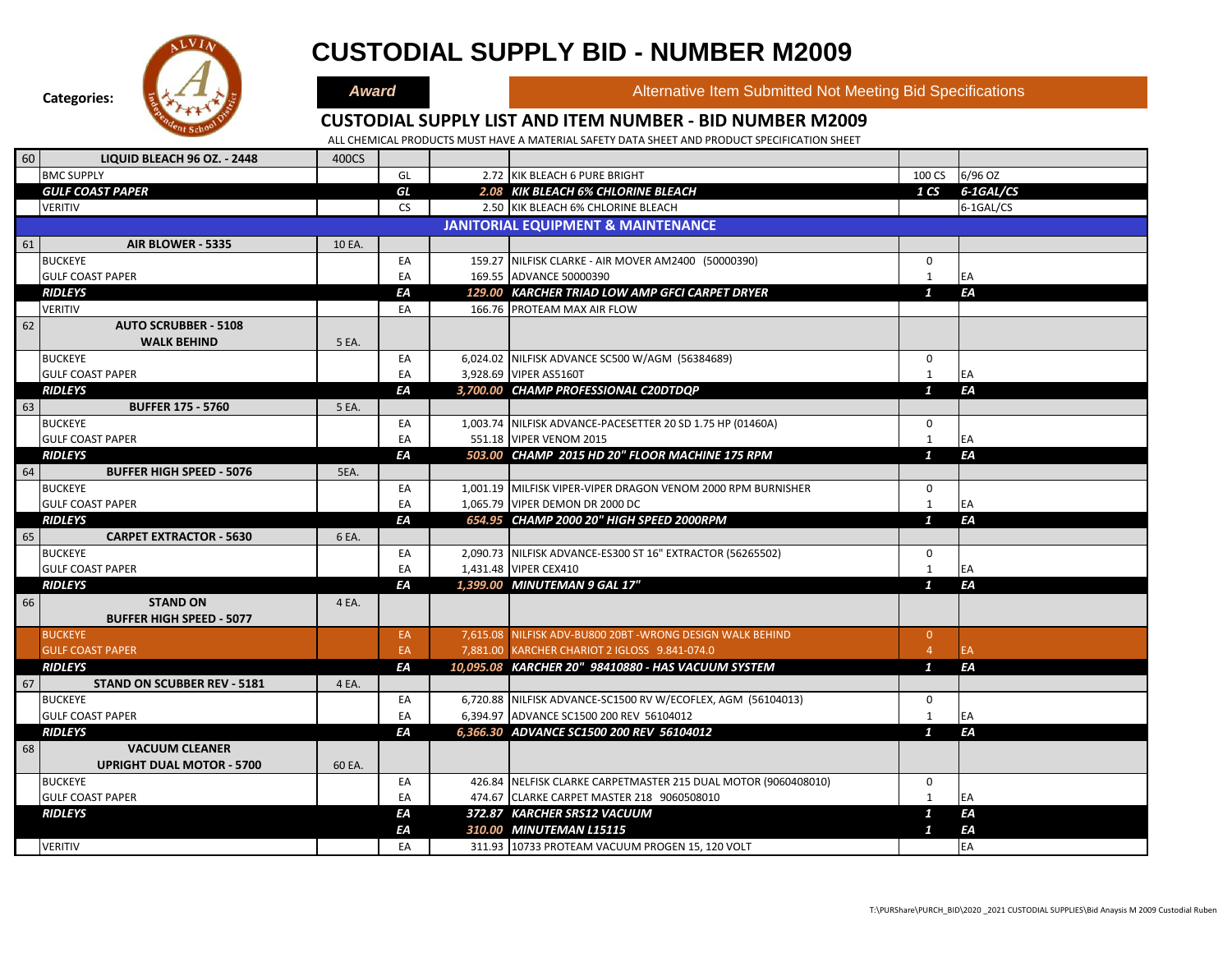

# **CUSTODIAL SUPPLY BID - NUMBER M2009**

**Award Alternative Item Submitted Not Meeting Bid Specifications** 

#### **CUSTODIAL SUPPLY LIST AND ITEM NUMBER - BID NUMBER M2009**

| 60 | <b>LIQUID BLEACH 96 OZ. - 2448</b> | 400CS  |           |                                                                |                  |           |
|----|------------------------------------|--------|-----------|----------------------------------------------------------------|------------------|-----------|
|    | <b>BMC SUPPLY</b>                  |        | GL        | 2.72 KIK BLEACH 6 PURE BRIGHT                                  | 100 CS           | 6/96 OZ   |
|    | <b>GULF COAST PAPER</b>            |        | GL        | 2.08 KIK BLEACH 6% CHLORINE BLEACH                             | 1 C <sub>S</sub> | 6-1GAL/CS |
|    | <b>VERITIV</b>                     |        | <b>CS</b> | 2.50 KIK BLEACH 6% CHLORINE BLEACH                             |                  | 6-1GAL/CS |
|    |                                    |        |           | <b>JANITORIAL EQUIPMENT &amp; MAINTENANCE</b>                  |                  |           |
| 61 | AIR BLOWER - 5335                  | 10 EA. |           |                                                                |                  |           |
|    | <b>BUCKEYE</b>                     |        | EA        | 159.27 NILFISK CLARKE - AIR MOVER AM2400 (50000390)            | 0                |           |
|    | <b>GULF COAST PAPER</b>            |        | EA        | 169.55 ADVANCE 50000390                                        | $\mathbf{1}$     | EA        |
|    | <b>RIDLEYS</b>                     |        | EA        | 129.00 KARCHER TRIAD LOW AMP GFCI CARPET DRYER                 | $\mathbf{1}$     | ΕA        |
|    | <b>VERITIV</b>                     |        | EA        | 166.76 PROTEAM MAX AIR FLOW                                    |                  |           |
| 62 | <b>AUTO SCRUBBER - 5108</b>        |        |           |                                                                |                  |           |
|    | <b>WALK BEHIND</b>                 | 5 EA.  |           |                                                                |                  |           |
|    | <b>BUCKEYE</b>                     |        | EA        | 6,024.02 NILFISK ADVANCE SC500 W/AGM (56384689)                | 0                |           |
|    | <b>GULF COAST PAPER</b>            |        | EA        | 3,928.69 VIPER AS5160T                                         | $\mathbf{1}$     | EA        |
|    | <b>RIDLEYS</b>                     |        | EA        | 3,700.00 CHAMP PROFESSIONAL C20DTDQP                           | $\mathbf{1}$     | ΕA        |
| 63 | <b>BUFFER 175 - 5760</b>           | 5 EA.  |           |                                                                |                  |           |
|    | <b>BUCKEYE</b>                     |        | EA        | 1,003.74 NILFISK ADVANCE-PACESETTER 20 SD 1.75 HP (01460A)     | 0                |           |
|    | <b>GULF COAST PAPER</b>            |        | EA        | 551.18 VIPER VENOM 2015                                        | 1                | EA        |
|    | <b>RIDLEYS</b>                     |        | ΕA        | 503.00 CHAMP 2015 HD 20" FLOOR MACHINE 175 RPM                 | $\mathbf{1}$     | ΕA        |
| 64 | <b>BUFFER HIGH SPEED - 5076</b>    | 5EA.   |           |                                                                |                  |           |
|    | <b>BUCKEYE</b>                     |        | EA        | 1,001.19 MILFISK VIPER-VIPER DRAGON VENOM 2000 RPM BURNISHER   | 0                |           |
|    | <b>GULF COAST PAPER</b>            |        | EA        | 1,065.79 VIPER DEMON DR 2000 DC                                | $\mathbf{1}$     | EA        |
|    | <b>RIDLEYS</b>                     |        | EA        | 654.95 CHAMP 2000 20" HIGH SPEED 2000RPM                       | $\mathbf{1}$     | ΕA        |
| 65 | <b>CARPET EXTRACTOR - 5630</b>     | 6 EA.  |           |                                                                |                  |           |
|    | <b>BUCKEYE</b>                     |        | EA        | 2,090.73 NILFISK ADVANCE-ES300 ST 16" EXTRACTOR (56265502)     | $\mathsf{O}$     |           |
|    | <b>GULF COAST PAPER</b>            |        | EA        | 1,431.48 VIPER CEX410                                          | 1                | EA        |
|    | <b>RIDLEYS</b>                     |        | ΕA        | 1,399.00 MINUTEMAN 9 GAL 17"                                   | $\mathbf{1}$     | ΕA        |
| 66 | <b>STAND ON</b>                    | 4 EA.  |           |                                                                |                  |           |
|    | <b>BUFFER HIGH SPEED - 5077</b>    |        |           |                                                                |                  |           |
|    | <b>BUCKEYE</b>                     |        | EA        | 7,615.08 NILFISK ADV-BU800 20BT - WRONG DESIGN WALK BEHIND     | $\overline{0}$   |           |
|    | <b>GULF COAST PAPER</b>            |        | EA        | 7,881.00 KARCHER CHARIOT 2 IGLOSS 9.841-074.0                  | $\overline{4}$   | <b>EA</b> |
|    | <b>RIDLEYS</b>                     |        | EA        | 10,095.08 KARCHER 20" 98410880 - HAS VACUUM SYSTEM             | $\mathbf{1}$     | ΕA        |
| 67 | <b>STAND ON SCUBBER REV - 5181</b> | 4 EA.  |           |                                                                |                  |           |
|    | <b>BUCKEYE</b>                     |        | EA        | 6,720.88 NILFISK ADVANCE-SC1500 RV W/ECOFLEX, AGM (56104013)   | $\mathbf 0$      |           |
|    | <b>GULF COAST PAPER</b>            |        | EA        | 6,394.97 ADVANCE SC1500 200 REV 56104012                       | $\mathbf{1}$     | EA        |
|    | <b>RIDLEYS</b>                     |        | ЕA        | 6,366.30 ADVANCE SC1500 200 REV 56104012                       | $\mathbf{1}$     | EA        |
| 68 | <b>VACUUM CLEANER</b>              |        |           |                                                                |                  |           |
|    | <b>UPRIGHT DUAL MOTOR - 5700</b>   | 60 EA. |           |                                                                |                  |           |
|    | <b>BUCKEYE</b>                     |        | EA        | 426.84 NELFISK CLARKE CARPETMASTER 215 DUAL MOTOR (9060408010) | 0                |           |
|    | <b>GULF COAST PAPER</b>            |        | EA        | 474.67 CLARKE CARPET MASTER 218 9060508010                     | 1                | EA        |
|    | <b>RIDLEYS</b>                     |        | ΕA        | 372.87 KARCHER SRS12 VACUUM                                    | $\mathbf{1}$     | FΑ        |
|    |                                    |        | ΕA        | 310.00 MINUTEMAN L15115                                        | $\mathbf{1}$     | ΕA        |
|    | <b>VERITIV</b>                     |        | EA        | 311.93 10733 PROTEAM VACUUM PROGEN 15, 120 VOLT                |                  | EA        |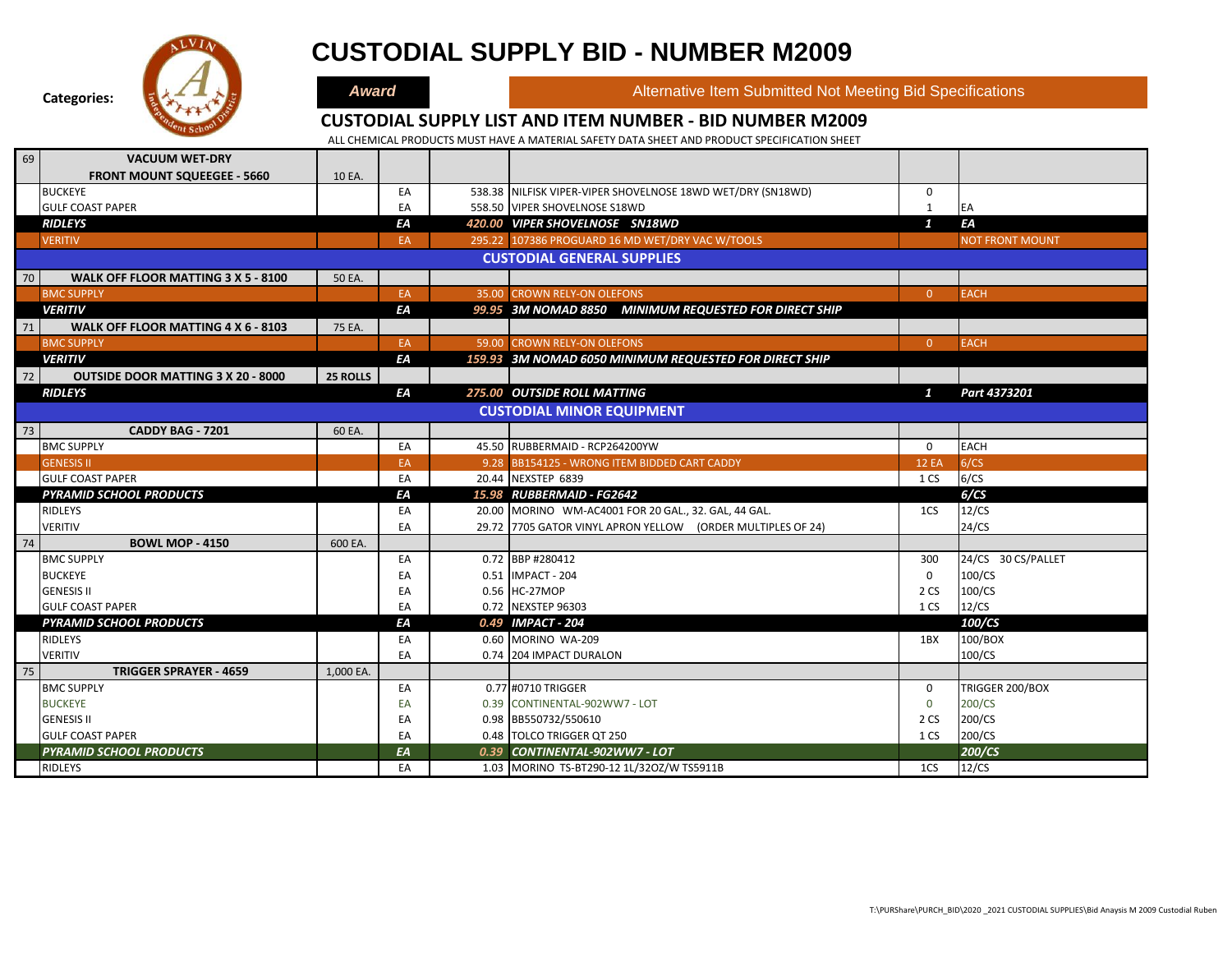

# **CUSTODIAL SUPPLY BID - NUMBER M2009**

**Award Alternative Item Submitted Not Meeting Bid Specifications** 

### **CUSTODIAL SUPPLY LIST AND ITEM NUMBER - BID NUMBER M2009**

| 69 | <b>VACUUM WET-DRY</b>                     |           |     |                                                             |                |                        |
|----|-------------------------------------------|-----------|-----|-------------------------------------------------------------|----------------|------------------------|
|    | <b>FRONT MOUNT SQUEEGEE - 5660</b>        | 10 EA.    |     |                                                             |                |                        |
|    | <b>BUCKEYE</b>                            |           | EA  | 538.38 NILFISK VIPER-VIPER SHOVELNOSE 18WD WET/DRY (SN18WD) | 0              |                        |
|    | <b>GULF COAST PAPER</b>                   |           | EA  | 558.50 VIPER SHOVELNOSE S18WD                               | 1              | EA                     |
|    | <b>RIDLEYS</b>                            |           | ΕA  | 420.00 VIPER SHOVELNOSE SN18WD                              | $\mathbf{1}$   | ΕA                     |
|    | <b>VERITIV</b>                            |           | EA. | 295.22 107386 PROGUARD 16 MD WET/DRY VAC W/TOOLS            |                | <b>NOT FRONT MOUNT</b> |
|    |                                           |           |     | <b>CUSTODIAL GENERAL SUPPLIES</b>                           |                |                        |
| 70 | WALK OFF FLOOR MATTING 3 X 5 - 8100       | 50 EA.    |     |                                                             |                |                        |
|    | <b>BMC SUPPLY</b>                         |           | EA  | 35.00 CROWN RELY-ON OLEFONS                                 | $\overline{0}$ | <b>EACH</b>            |
|    | <b>VERITIV</b>                            |           | EA  | 99.95 3M NOMAD 8850 MINIMUM REQUESTED FOR DIRECT SHIP       |                |                        |
| 71 | WALK OFF FLOOR MATTING 4 X 6 - 8103       | 75 EA.    |     |                                                             |                |                        |
|    | <b>BMC SUPPLY</b>                         |           | EA  | 59.00 CROWN RELY-ON OLEFONS                                 | $\Omega$       | <b>EACH</b>            |
|    | <b>VERITIV</b>                            |           | ΕA  | 159.93 3M NOMAD 6050 MINIMUM REQUESTED FOR DIRECT SHIP      |                |                        |
| 72 | <b>OUTSIDE DOOR MATTING 3 X 20 - 8000</b> | 25 ROLLS  |     |                                                             |                |                        |
|    | <b>RIDLEYS</b>                            |           | ΕA  | 275.00 OUTSIDE ROLL MATTING                                 | $\mathbf{1}$   | Part 4373201           |
|    |                                           |           |     | <b>CUSTODIAL MINOR EQUIPMENT</b>                            |                |                        |
| 73 | CADDY BAG - 7201                          | 60 EA.    |     |                                                             |                |                        |
|    | <b>BMC SUPPLY</b>                         |           | EA  | 45.50 RUBBERMAID - RCP264200YW                              | $\mathbf 0$    | <b>EACH</b>            |
|    | <b>GENESIS II</b>                         |           | EA  | 9.28 BB154125 - WRONG ITEM BIDDED CART CADDY                | <b>12 EA</b>   | 6/CS                   |
|    | <b>GULF COAST PAPER</b>                   |           | EA  | 20.44 NEXSTEP 6839                                          | 1 CS           | 6/CS                   |
|    | <b>PYRAMID SCHOOL PRODUCTS</b>            |           | ΕA  | 15.98 RUBBERMAID - FG2642                                   |                | 6/CS                   |
|    | RIDLEYS                                   |           | EA  | 20.00 MORINO WM-AC4001 FOR 20 GAL., 32. GAL, 44 GAL.        | 1CS            | 12/CS                  |
|    | <b>VERITIV</b>                            |           | EA  | 29.72 7705 GATOR VINYL APRON YELLOW (ORDER MULTIPLES OF 24) |                | 24/CS                  |
| 74 | <b>BOWL MOP - 4150</b>                    | 600 EA.   |     |                                                             |                |                        |
|    | <b>BMC SUPPLY</b>                         |           | EA  | 0.72 BBP #280412                                            | 300            | 24/CS 30 CS/PALLET     |
|    | <b>BUCKEYE</b>                            |           | EA  | 0.51 IMPACT - 204                                           | $\mathbf 0$    | 100/CS                 |
|    | <b>GENESIS II</b>                         |           | EA  | 0.56 HC-27MOP                                               | 2 CS           | 100/CS                 |
|    | <b>GULF COAST PAPER</b>                   |           | EA  | 0.72 NEXSTEP 96303                                          | 1 CS           | 12/CS                  |
|    | <b>PYRAMID SCHOOL PRODUCTS</b>            |           | EA  | 0.49 IMPACT - 204                                           |                | 100/CS                 |
|    | <b>RIDLEYS</b>                            |           | EA  | 0.60 MORINO WA-209                                          | 1BX            | 100/BOX                |
|    | <b>VERITIV</b>                            |           | EA  | 0.74 204 IMPACT DURALON                                     |                | 100/CS                 |
| 75 | <b>TRIGGER SPRAYER - 4659</b>             | 1,000 EA. |     |                                                             |                |                        |
|    | <b>BMC SUPPLY</b>                         |           | EA  | 0.77 #0710 TRIGGER                                          | $\mathbf 0$    | TRIGGER 200/BOX        |
|    | <b>BUCKEYE</b>                            |           | EA  | 0.39 CONTINENTAL-902WW7 - LOT                               | $\mathbf 0$    | 200/CS                 |
|    | <b>GENESIS II</b>                         |           | EA  | 0.98 BB550732/550610                                        | 2 CS           | 200/CS                 |
|    | <b>GULF COAST PAPER</b>                   |           | EA  | 0.48 TOLCO TRIGGER QT 250                                   | 1 CS           | 200/CS                 |
|    | <b>PYRAMID SCHOOL PRODUCTS</b>            |           | EA  | 0.39 CONTINENTAL-902WW7 - LOT                               |                | 200/CS                 |
|    | <b>RIDLEYS</b>                            |           | EA  | 1.03 MORINO TS-BT290-12 1L/32OZ/W TS5911B                   | 1CS            | 12/CS                  |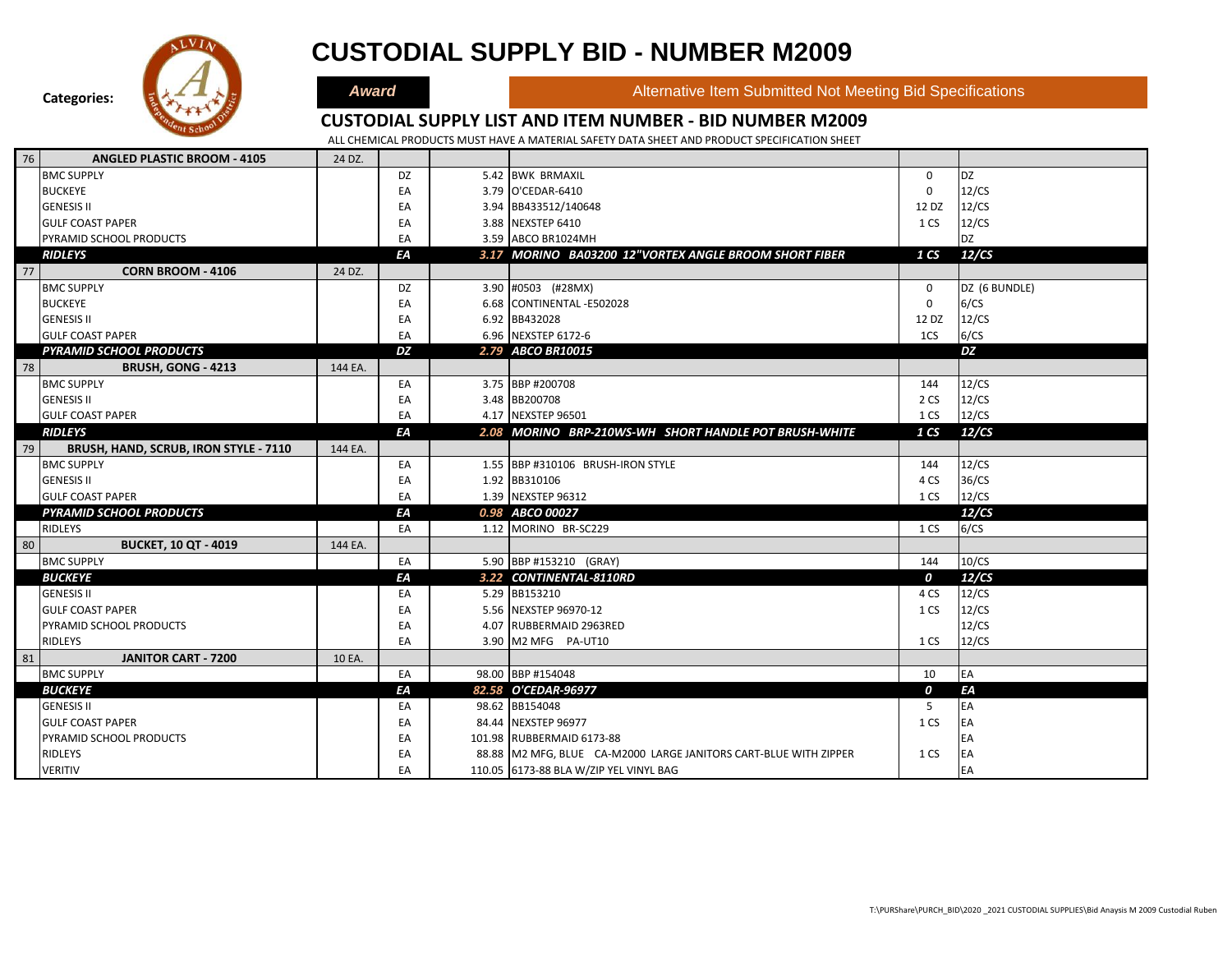

### **CUSTODIAL SUPPLY BID - NUMBER M2009**

**Award Alternative Item Submitted Not Meeting Bid Specifications** 

#### **CUSTODIAL SUPPLY LIST AND ITEM NUMBER - BID NUMBER M2009**

| 76 | <b>ANGLED PLASTIC BROOM - 4105</b>    | 24 DZ.  |    |                                                                  |                 |               |
|----|---------------------------------------|---------|----|------------------------------------------------------------------|-----------------|---------------|
|    | <b>BMC SUPPLY</b>                     |         | DZ | 5.42 BWK BRMAXIL                                                 | $\mathbf 0$     | <b>DZ</b>     |
|    | <b>BUCKEYE</b>                        |         | EA | 3.79 O'CEDAR-6410                                                | 0               | 12/CS         |
|    | <b>GENESIS II</b>                     |         | EA | 3.94 BB433512/140648                                             | 12 DZ           | 12/CS         |
|    | <b>GULF COAST PAPER</b>               |         | EA | 3.88 NEXSTEP 6410                                                | 1 CS            | 12/CS         |
|    | PYRAMID SCHOOL PRODUCTS               |         | EA | 3.59 ABCO BR1024MH                                               |                 | <b>DZ</b>     |
|    | <b>RIDLEYS</b>                        |         | ΕA | 3.17 MORINO BA03200 12"VORTEX ANGLE BROOM SHORT FIBER            | 1 <sub>CS</sub> | 12/CS         |
| 77 | <b>CORN BROOM - 4106</b>              | 24 DZ.  |    |                                                                  |                 |               |
|    | <b>BMC SUPPLY</b>                     |         | DZ | 3.90 #0503 (#28MX)                                               | $\mathbf 0$     | DZ (6 BUNDLE) |
|    | <b>BUCKEYE</b>                        |         | EA | 6.68 CONTINENTAL -E502028                                        | $\mathbf 0$     | 6/CS          |
|    | <b>GENESIS II</b>                     |         | EA | 6.92 BB432028                                                    | 12 DZ           | 12/CS         |
|    | <b>GULF COAST PAPER</b>               |         | EA | 6.96 NEXSTEP 6172-6                                              | 1CS             | 6/CS          |
|    | <b>PYRAMID SCHOOL PRODUCTS</b>        |         | DZ | 2.79 ABCO BR10015                                                |                 | DZ            |
| 78 | BRUSH, GONG - 4213                    | 144 EA. |    |                                                                  |                 |               |
|    | <b>BMC SUPPLY</b>                     |         | EA | 3.75 BBP #200708                                                 | 144             | 12/CS         |
|    | <b>GENESIS II</b>                     |         | EA | 3.48 BB200708                                                    | 2 CS            | 12/CS         |
|    | <b>GULF COAST PAPER</b>               |         | EA | 4.17 NEXSTEP 96501                                               | 1 CS            | 12/CS         |
|    | <b>RIDLEYS</b>                        |         | ΕA | 2.08 MORINO BRP-210WS-WH SHORT HANDLE POT BRUSH-WHITE            | 1 <sub>CS</sub> | 12/CS         |
| 79 | BRUSH, HAND, SCRUB, IRON STYLE - 7110 | 144 EA. |    |                                                                  |                 |               |
|    | <b>BMC SUPPLY</b>                     |         | EA | 1.55 BBP #310106 BRUSH-IRON STYLE                                | 144             | 12/CS         |
|    | <b>GENESIS II</b>                     |         | EA | 1.92 BB310106                                                    | 4 CS            | 36/CS         |
|    | <b>GULF COAST PAPER</b>               |         | EA | 1.39 NEXSTEP 96312                                               | 1 CS            | 12/CS         |
|    | <b>PYRAMID SCHOOL PRODUCTS</b>        |         | ΕA | 0.98 ABCO 00027                                                  |                 | 12/CS         |
|    | <b>RIDLEYS</b>                        |         | EA | 1.12 MORINO BR-SC229                                             | 1 CS            | 6/CS          |
| 80 | <b>BUCKET, 10 QT - 4019</b>           | 144 EA. |    |                                                                  |                 |               |
|    | <b>BMC SUPPLY</b>                     |         | EA | 5.90 BBP #153210 (GRAY)                                          | 144             | 10/CS         |
|    | <b>BUCKEYE</b>                        |         | EA | 3.22 CONTINENTAL-8110RD                                          | 0               | 12/CS         |
|    | <b>GENESIS II</b>                     |         | EA | 5.29 BB153210                                                    | 4 CS            | 12/CS         |
|    | <b>GULF COAST PAPER</b>               |         | EA | 5.56 NEXSTEP 96970-12                                            | 1 CS            | 12/CS         |
|    | PYRAMID SCHOOL PRODUCTS               |         | EA | 4.07 RUBBERMAID 2963RED                                          |                 | 12/CS         |
|    | RIDLEYS                               |         | EA | 3.90 M2 MFG PA-UT10                                              | 1 CS            | 12/CS         |
| 81 | <b>JANITOR CART - 7200</b>            | 10 EA.  |    |                                                                  |                 |               |
|    | <b>BMC SUPPLY</b>                     |         | EA | 98.00 BBP #154048                                                | 10              | EA            |
|    | <b>BUCKEYE</b>                        |         | EA | 82.58 O'CEDAR-96977                                              | 0               | ΕA            |
|    | <b>GENESIS II</b>                     |         | EA | 98.62 BB154048                                                   | 5               | EA            |
|    | <b>GULF COAST PAPER</b>               |         | EA | 84.44 NEXSTEP 96977                                              | 1 CS            | EA            |
|    | PYRAMID SCHOOL PRODUCTS               |         | EA | 101.98 RUBBERMAID 6173-88                                        |                 | EA            |
|    | <b>RIDLEYS</b>                        |         | EA | 88.88 M2 MFG, BLUE CA-M2000 LARGE JANITORS CART-BLUE WITH ZIPPER | 1 CS            | EA            |
|    | <b>VERITIV</b>                        |         | EA | 110.05 6173-88 BLA W/ZIP YEL VINYL BAG                           |                 | EA            |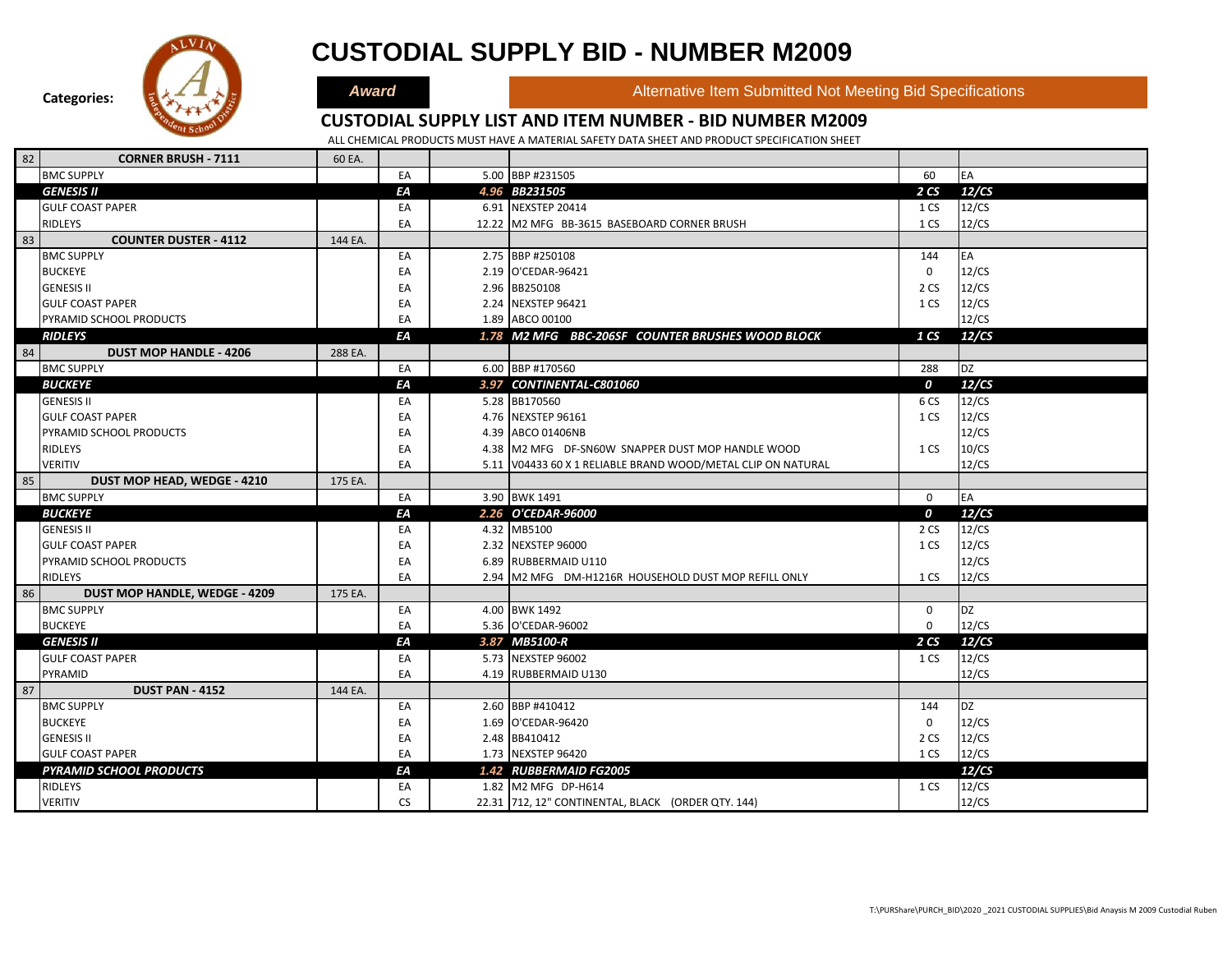

### **CUSTODIAL SUPPLY BID - NUMBER M2009**

**Award Alternative Item Submitted Not Meeting Bid Specifications** 

#### **CUSTODIAL SUPPLY LIST AND ITEM NUMBER - BID NUMBER M2009**

| 82 | <b>CORNER BRUSH - 7111</b>           | 60 EA.  |           |                                                              |                  |           |
|----|--------------------------------------|---------|-----------|--------------------------------------------------------------|------------------|-----------|
|    | <b>BMC SUPPLY</b>                    |         | EA        | 5.00 BBP #231505                                             | 60               | EA        |
|    | <b>GENESIS II</b>                    |         | EA        | 4.96 BB231505                                                | 2CS              | 12/CS     |
|    | <b>GULF COAST PAPER</b>              |         | EA        | 6.91 NEXSTEP 20414                                           | 1 CS             | 12/CS     |
|    | RIDLEYS                              |         | EA        | 12.22 M2 MFG BB-3615 BASEBOARD CORNER BRUSH                  | 1 CS             | 12/CS     |
| 83 | <b>COUNTER DUSTER - 4112</b>         | 144 EA. |           |                                                              |                  |           |
|    | <b>BMC SUPPLY</b>                    |         | EA        | 2.75 BBP #250108                                             | 144              | EA        |
|    | <b>BUCKEYE</b>                       |         | EA        | 2.19 O'CEDAR-96421                                           | 0                | 12/CS     |
|    | <b>GENESIS II</b>                    |         | EA        | 2.96 BB250108                                                | 2 CS             | 12/CS     |
|    | <b>GULF COAST PAPER</b>              |         | EA        | 2.24 NEXSTEP 96421                                           | 1 CS             | 12/CS     |
|    | PYRAMID SCHOOL PRODUCTS              |         | EA        | 1.89 ABCO 00100                                              |                  | 12/CS     |
|    | <b>RIDLEYS</b>                       |         | ΕA        | 1.78 M2 MFG BBC-206SF COUNTER BRUSHES WOOD BLOCK             | 1 CS             | 12/CS     |
| 84 | <b>DUST MOP HANDLE - 4206</b>        | 288 EA. |           |                                                              |                  |           |
|    | <b>BMC SUPPLY</b>                    |         | EA        | 6.00 BBP #170560                                             | 288              | <b>DZ</b> |
|    | <b>BUCKEYE</b>                       |         | EA        | 3.97 CONTINENTAL-C801060                                     | $\boldsymbol{o}$ | 12/CS     |
|    | <b>GENESIS II</b>                    |         | EA        | 5.28 BB170560                                                | 6 CS             | 12/CS     |
|    | <b>GULF COAST PAPER</b>              |         | EA        | 4.76 NEXSTEP 96161                                           | 1 CS             | 12/CS     |
|    | PYRAMID SCHOOL PRODUCTS              |         | EA        | 4.39 ABCO 01406NB                                            |                  | 12/CS     |
|    | RIDLEYS                              |         | EA        | 4.38 M2 MFG DF-SN60W SNAPPER DUST MOP HANDLE WOOD            | 1 CS             | 10/CS     |
|    | <b>VERITIV</b>                       |         | EA        | 5.11 V04433 60 X 1 RELIABLE BRAND WOOD/METAL CLIP ON NATURAL |                  | 12/CS     |
| 85 | DUST MOP HEAD, WEDGE - 4210          | 175 EA. |           |                                                              |                  |           |
|    | <b>BMC SUPPLY</b>                    |         | EA        | 3.90 BWK 1491                                                | $\mathbf 0$      | EA        |
|    | <b>BUCKEYE</b>                       |         | EA        | 2.26 O'CEDAR-96000                                           | $\boldsymbol{o}$ | 12/CS     |
|    | <b>GENESIS II</b>                    |         | EA        | 4.32 MB5100                                                  | 2 CS             | 12/CS     |
|    | <b>GULF COAST PAPER</b>              |         | EA        | 2.32 NEXSTEP 96000                                           | 1 CS             | 12/CS     |
|    | PYRAMID SCHOOL PRODUCTS              |         | EA        | 6.89 RUBBERMAID U110                                         |                  | 12/CS     |
|    | <b>RIDLEYS</b>                       |         | EA        | 2.94 M2 MFG DM-H1216R HOUSEHOLD DUST MOP REFILL ONLY         | 1 CS             | 12/CS     |
| 86 | <b>DUST MOP HANDLE, WEDGE - 4209</b> | 175 EA. |           |                                                              |                  |           |
|    | <b>BMC SUPPLY</b>                    |         | EA        | 4.00 BWK 1492                                                | 0                | <b>DZ</b> |
|    | <b>BUCKEYE</b>                       |         | EA        | 5.36 O'CEDAR-96002                                           | $\mathbf 0$      | 12/CS     |
|    | <b>GENESIS II</b>                    |         | EA        | 3.87 MB5100-R                                                | 2CS              | 12/CS     |
|    | <b>GULF COAST PAPER</b>              |         | EA        | 5.73 NEXSTEP 96002                                           | 1 CS             | 12/CS     |
|    | PYRAMID                              |         | EA        | 4.19 RUBBERMAID U130                                         |                  | 12/CS     |
| 87 | <b>DUST PAN - 4152</b>               | 144 EA. |           |                                                              |                  |           |
|    | <b>BMC SUPPLY</b>                    |         | EA        | 2.60 BBP #410412                                             | 144              | <b>DZ</b> |
|    | <b>BUCKEYE</b>                       |         | EA        | 1.69 O'CEDAR-96420                                           | 0                | 12/CS     |
|    | <b>GENESIS II</b>                    |         | EA        | 2.48 BB410412                                                | 2 CS             | 12/CS     |
|    | <b>GULF COAST PAPER</b>              |         | EA        | 1.73 NEXSTEP 96420                                           | 1 CS             | 12/CS     |
|    | <b>PYRAMID SCHOOL PRODUCTS</b>       |         | EA        | 1.42 RUBBERMAID FG2005                                       |                  | 12/CS     |
|    | RIDLEYS                              |         | EA        | 1.82 M2 MFG DP-H614                                          | 1 CS             | 12/CS     |
|    | VERITIV                              |         | <b>CS</b> | 22.31 712, 12" CONTINENTAL, BLACK (ORDER QTY. 144)           |                  | 12/CS     |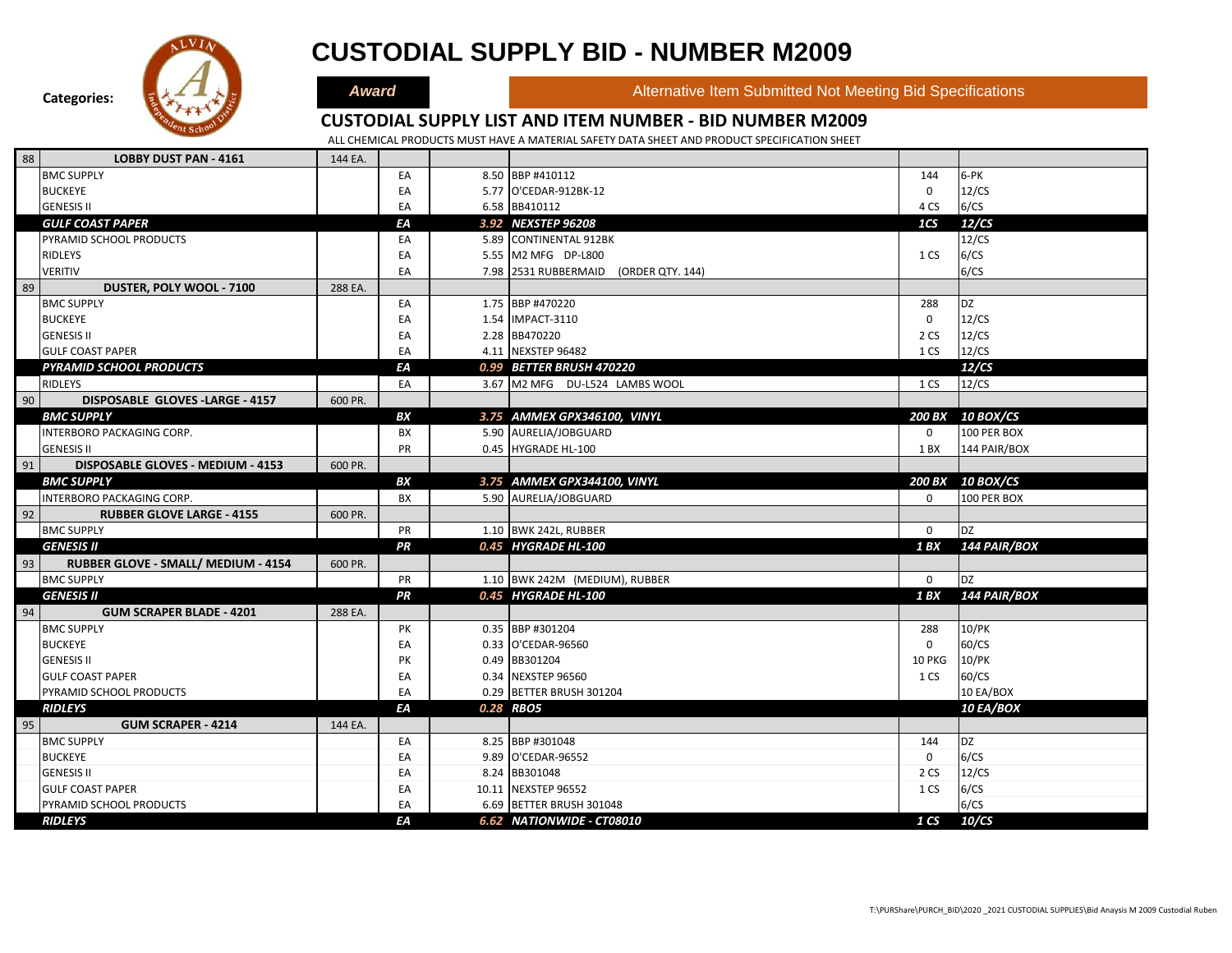

|    | <b>RIDLEYS</b>                      |         | EA | 5.55 M2 MFG DP-L800                   | 1 CS            | 6/CS             |
|----|-------------------------------------|---------|----|---------------------------------------|-----------------|------------------|
|    | <b>VERITIV</b>                      |         | EA | 7.98 2531 RUBBERMAID (ORDER QTY. 144) |                 | 6/CS             |
| 89 | DUSTER, POLY WOOL - 7100            | 288 EA. |    |                                       |                 |                  |
|    | <b>BMC SUPPLY</b>                   |         | EA | 1.75 BBP #470220                      | 288             | DZ               |
|    | <b>BUCKEYE</b>                      |         | EA | 1.54 IMPACT-3110                      | 0               | 12/CS            |
|    | <b>GENESIS II</b>                   |         | EA | 2.28 BB470220                         | 2 CS            | 12/CS            |
|    | <b>GULF COAST PAPER</b>             |         | EA | 4.11 NEXSTEP 96482                    | 1 CS            | 12/CS            |
|    | <b>PYRAMID SCHOOL PRODUCTS</b>      |         | ΕA | 0.99 BETTER BRUSH 470220              |                 | 12/CS            |
|    | <b>RIDLEYS</b>                      |         | EA | 3.67 M2 MFG DU-L524 LAMBS WOOL        | 1 CS            | 12/CS            |
| 90 | DISPOSABLE GLOVES - LARGE - 4157    | 600 PR. |    |                                       |                 |                  |
|    | <b>BMC SUPPLY</b>                   |         | BX | 3.75 AMMEX GPX346100, VINYL           | <b>200 BX</b>   | <b>10 BOX/CS</b> |
|    | INTERBORO PACKAGING CORP.           |         | BX | 5.90 AURELIA/JOBGUARD                 | 0               | 100 PER BOX      |
|    | <b>GENESIS II</b>                   |         | PR | 0.45 HYGRADE HL-100                   | 1 BX            | 144 PAIR/BOX     |
| 91 | DISPOSABLE GLOVES - MEDIUM - 4153   | 600 PR. |    |                                       |                 |                  |
|    | <b>BMC SUPPLY</b>                   |         | BX | 3.75 AMMEX GPX344100, VINYL           |                 | 200 BX 10 BOX/CS |
|    | INTERBORO PACKAGING CORP.           |         | BX | 5.90 AURELIA/JOBGUARD                 | 0               | 100 PER BOX      |
| 92 | <b>RUBBER GLOVE LARGE - 4155</b>    | 600 PR. |    |                                       |                 |                  |
|    | <b>BMC SUPPLY</b>                   |         | PR | 1.10 BWK 242L, RUBBER                 | $\Omega$        | <b>DZ</b>        |
|    | <b>GENESIS II</b>                   |         | PR | 0.45 HYGRADE HL-100                   | 1 BX            | 144 PAIR/BOX     |
| 93 | RUBBER GLOVE - SMALL/ MEDIUM - 4154 | 600 PR. |    |                                       |                 |                  |
|    | <b>BMC SUPPLY</b>                   |         | PR | 1.10 BWK 242M (MEDIUM), RUBBER        | 0               | <b>DZ</b>        |
|    | <b>GENESIS II</b>                   |         | PR | 0.45 HYGRADE HL-100                   | 1 BX            | 144 PAIR/BOX     |
| 94 | <b>GUM SCRAPER BLADE - 4201</b>     | 288 EA. |    |                                       |                 |                  |
|    | <b>BMC SUPPLY</b>                   |         | PK | 0.35 BBP #301204                      | 288             | 10/PK            |
|    | <b>BUCKEYE</b>                      |         | EA | 0.33 O'CEDAR-96560                    | 0               | 60/CS            |
|    | <b>GENESIS II</b>                   |         | PK | 0.49 BB301204                         | 10 PKG          | 10/PK            |
|    | <b>GULF COAST PAPER</b>             |         | EA | 0.34 NEXSTEP 96560                    | 1 CS            | 60/CS            |
|    | PYRAMID SCHOOL PRODUCTS             |         | EA | 0.29 BETTER BRUSH 301204              |                 | 10 EA/BOX        |
|    | <b>RIDLEYS</b>                      |         | ΕA | 0.28 RBO5                             |                 | 10 EA/BOX        |
| 95 | <b>GUM SCRAPER - 4214</b>           | 144 EA. |    |                                       |                 |                  |
|    | <b>BMC SUPPLY</b>                   |         | EA | 8.25 BBP #301048                      | 144             | <b>DZ</b>        |
|    | <b>BUCKEYE</b>                      |         | EA | 9.89 O'CEDAR-96552                    | $\mathbf 0$     | 6/CS             |
|    | <b>GENESIS II</b>                   |         | EA | 8.24 BB301048                         | 2 CS            | 12/CS            |
|    | <b>GULF COAST PAPER</b>             |         | EA | 10.11 NEXSTEP 96552                   | 1 CS            | 6/CS             |
|    | PYRAMID SCHOOL PRODUCTS             |         | EA | 6.69 BETTER BRUSH 301048              |                 | 6/CS             |
|    | <b>RIDLEYS</b>                      |         | ΕA | 6.62 NATIONWIDE - CT08010             | 1 <sub>CS</sub> | 10/CS            |
|    |                                     |         |    |                                       |                 |                  |

### **CUSTODIAL SUPPLY BID - NUMBER M2009**

**Categories:**

88 **LOBBY DUST PAN - 4161** 144 EA.

**Award Alternative Item Submitted Not Meeting Bid Specifications** 

#### **CUSTODIAL SUPPLY LIST AND ITEM NUMBER - BID NUMBER M2009**

ALL CHEMICAL PRODUCTS MUST HAVE A MATERIAL SAFETY DATA SHEET AND PRODUCT SPECIFICATION SHEET

**CHEMICALS** 

BMC SUPPLY 8.50 |BBP #410112 144 6-PK BUCKEYE EA 5.77 O'CEDAR-912BK-12 0 12/CS GENESIS II BALLA AND SENESIS II DE LA CONSTRUIT DE LA CONSTRUIT DE LA CONSTRUIT DE LA CONSTRUIT DE LA CONSTRUIT *GULF COAST PAPER EA 3.92 NEXSTEP 96208 1CS 12/CS* PYRAMID SCHOOL PRODUCTS **EA 5.89 CONTINENTAL 912BK** 12/CS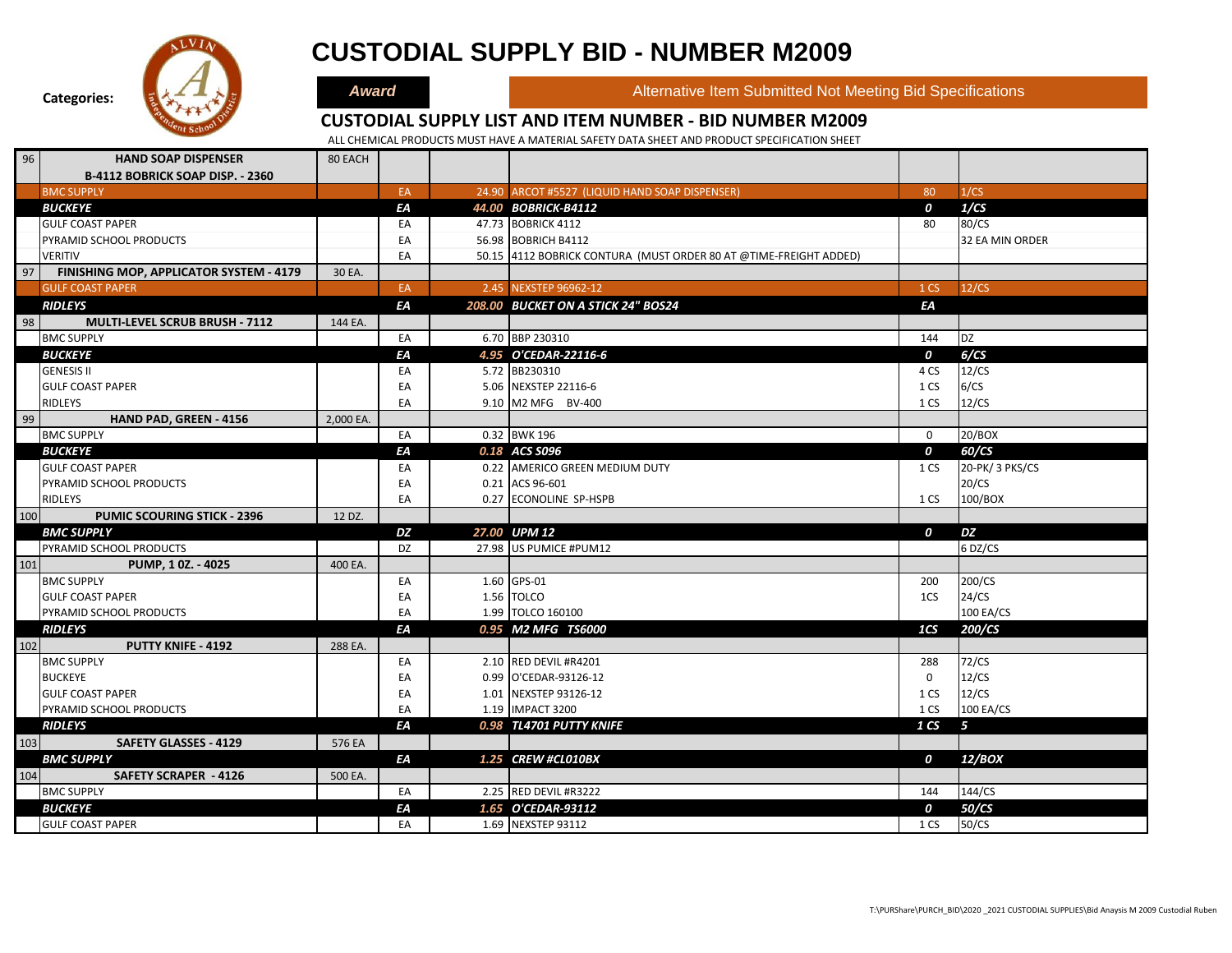

# **CUSTODIAL SUPPLY BID - NUMBER M2009**

**Award Alternative Item Submitted Not Meeting Bid Specifications** 

#### **CUSTODIAL SUPPLY LIST AND ITEM NUMBER - BID NUMBER M2009**

| 96  | <b>HAND SOAP DISPENSER</b>              | 80 EACH   |           |                                                                   |                  |                 |
|-----|-----------------------------------------|-----------|-----------|-------------------------------------------------------------------|------------------|-----------------|
|     | <b>B-4112 BOBRICK SOAP DISP. - 2360</b> |           |           |                                                                   |                  |                 |
|     | <b>BMC SUPPLY</b>                       |           | EA        | 24.90 ARCOT #5527 (LIQUID HAND SOAP DISPENSER)                    | 80               | 1/CS            |
|     | <b>BUCKEYE</b>                          |           | EA        | 44.00 BOBRICK-B4112                                               | $\boldsymbol{o}$ | 1/CS            |
|     | <b>GULF COAST PAPER</b>                 |           | EA        | 47.73 BOBRICK 4112                                                | 80               | 80/CS           |
|     | PYRAMID SCHOOL PRODUCTS                 |           | EA        | 56.98 BOBRICH B4112                                               |                  | 32 EA MIN ORDER |
|     | <b>VERITIV</b>                          |           | EA        | 50.15 4112 BOBRICK CONTURA (MUST ORDER 80 AT @TIME-FREIGHT ADDED) |                  |                 |
| 97  | FINISHING MOP, APPLICATOR SYSTEM - 4179 | 30 EA.    |           |                                                                   |                  |                 |
|     | <b>GULF COAST PAPER</b>                 |           | EA        | 2.45 NEXSTEP 96962-12                                             | 1 CS             | 12/CS           |
|     | <b>RIDLEYS</b>                          |           | ΕA        | 208.00 BUCKET ON A STICK 24" BOS24                                | ΕA               |                 |
| 98  | MULTI-LEVEL SCRUB BRUSH - 7112          | 144 EA.   |           |                                                                   |                  |                 |
|     | <b>BMC SUPPLY</b>                       |           | EA        | 6.70 BBP 230310                                                   | 144              | <b>DZ</b>       |
|     | <b>BUCKEYE</b>                          |           | EA        | 4.95 O'CEDAR-22116-6                                              | 0                | 6/CS            |
|     | <b>GENESIS II</b>                       |           | EA        | 5.72 BB230310                                                     | 4 CS             | 12/CS           |
|     | <b>GULF COAST PAPER</b>                 |           | EA        | 5.06 NEXSTEP 22116-6                                              | 1 CS             | 6/CS            |
|     | RIDLEYS                                 |           | EA        | 9.10 M2 MFG BV-400                                                | 1 CS             | 12/CS           |
| 99  | HAND PAD, GREEN - 4156                  | 2,000 EA. |           |                                                                   |                  |                 |
|     | <b>BMC SUPPLY</b>                       |           | EA        | 0.32 BWK 196                                                      | $\mathbf 0$      | 20/BOX          |
|     | <b>BUCKEYE</b>                          |           | EA        | 0.18 ACS S096                                                     | $\boldsymbol{0}$ | 60/CS           |
|     | <b>GULF COAST PAPER</b>                 |           | EA        | 0.22 AMERICO GREEN MEDIUM DUTY                                    | 1 CS             | 20-PK/ 3 PKS/CS |
|     | PYRAMID SCHOOL PRODUCTS                 |           | EA        | 0.21 ACS 96-601                                                   |                  | 20/CS           |
|     | <b>RIDLEYS</b>                          |           | EA        | 0.27 ECONOLINE SP-HSPB                                            | 1 CS             | 100/BOX         |
| 100 | <b>PUMIC SCOURING STICK - 2396</b>      | 12 DZ.    |           |                                                                   |                  |                 |
|     | <b>BMC SUPPLY</b>                       |           | DZ        | 27.00 UPM 12                                                      | $\boldsymbol{0}$ | DZ              |
|     | PYRAMID SCHOOL PRODUCTS                 |           | <b>DZ</b> | 27.98 US PUMICE #PUM12                                            |                  | 6 DZ/CS         |
| 101 | PUMP, 10Z. - 4025                       | 400 EA.   |           |                                                                   |                  |                 |
|     | <b>BMC SUPPLY</b>                       |           | EA        | 1.60 GPS-01                                                       | 200              | 200/CS          |
|     | <b>GULF COAST PAPER</b>                 |           | EA        | 1.56 TOLCO                                                        | 1CS              | 24/CS           |
|     | PYRAMID SCHOOL PRODUCTS                 |           | EA        | 1.99 TOLCO 160100                                                 |                  | 100 EA/CS       |
|     | <b>RIDLEYS</b>                          |           | EA        | 0.95 M2 MFG TS6000                                                | 1CS              | 200/CS          |
| 102 | <b>PUTTY KNIFE - 4192</b>               | 288 EA.   |           |                                                                   |                  |                 |
|     | <b>BMC SUPPLY</b>                       |           | EA        | 2.10 RED DEVIL #R4201                                             | 288              | 72/CS           |
|     | <b>BUCKEYE</b>                          |           | EA        | 0.99 O'CEDAR-93126-12                                             | $\mathsf{O}$     | 12/CS           |
|     | <b>GULF COAST PAPER</b>                 |           | EA        | 1.01 NEXSTEP 93126-12                                             | 1 CS             | 12/CS           |
|     | PYRAMID SCHOOL PRODUCTS                 |           | EA        | 1.19 IMPACT 3200                                                  | 1 CS             | 100 EA/CS       |
|     | <b>RIDLEYS</b>                          |           | EA        | 0.98 TL4701 PUTTY KNIFE                                           | 1 <sub>CS</sub>  | 5               |
| 103 | <b>SAFETY GLASSES - 4129</b>            | 576 EA    |           |                                                                   |                  |                 |
|     | <b>BMC SUPPLY</b>                       |           | ΕA        | 1.25 CREW #CL010BX                                                | $\boldsymbol{o}$ | 12/BOX          |
| 104 | <b>SAFETY SCRAPER - 4126</b>            | 500 EA.   |           |                                                                   |                  |                 |
|     | <b>BMC SUPPLY</b>                       |           | EA        | 2.25 RED DEVIL #R3222                                             | 144              | 144/CS          |
|     | <b>BUCKEYE</b>                          |           | ΕA        | 1.65 O'CEDAR-93112                                                | 0                | 50/CS           |
|     | <b>GULF COAST PAPER</b>                 |           | EA        | 1.69 NEXSTEP 93112                                                | 1 CS             | 50/CS           |
|     |                                         |           |           |                                                                   |                  |                 |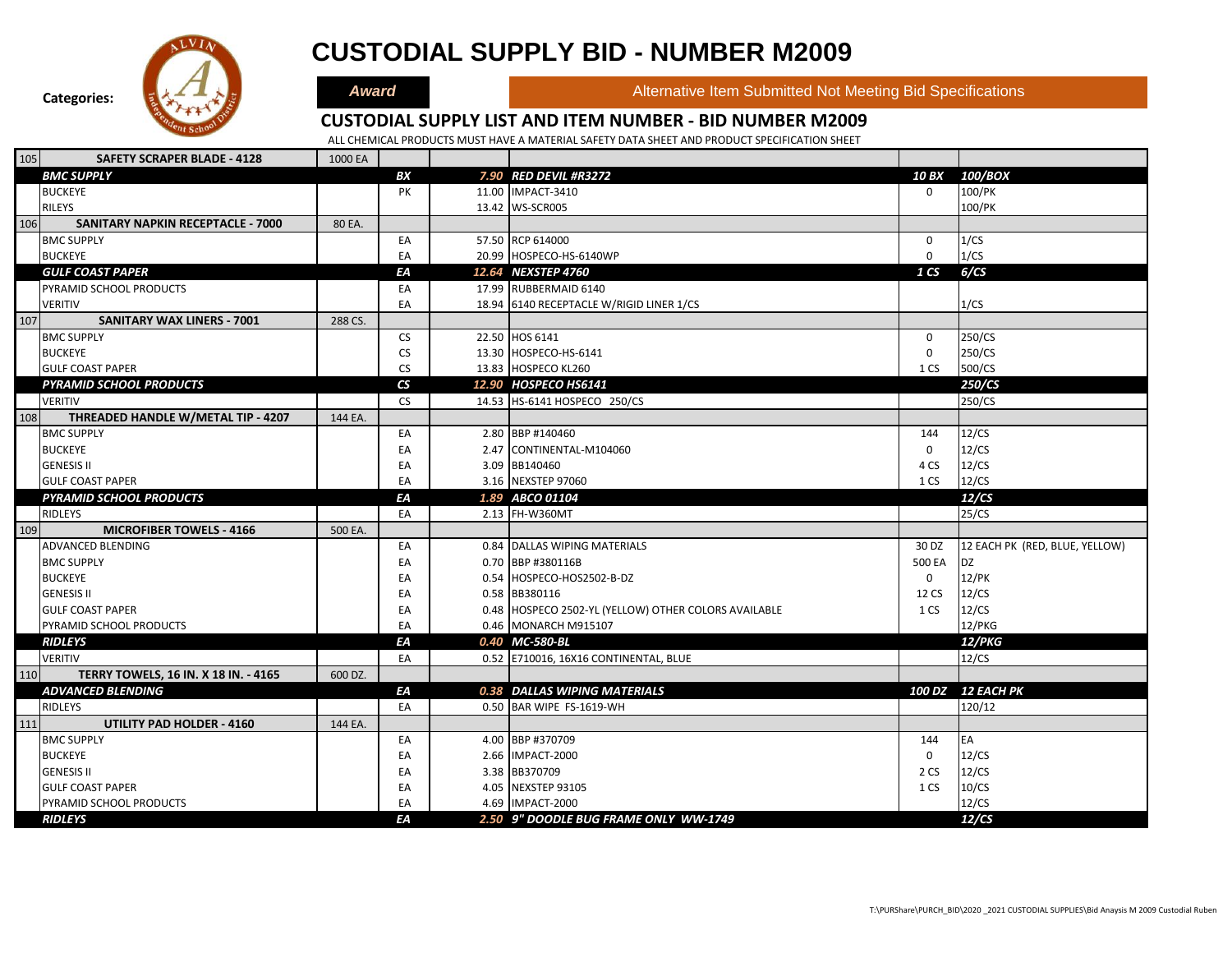

### **CUSTODIAL SUPPLY BID - NUMBER M2009**

**Award Alternative Item Submitted Not Meeting Bid Specifications** 

### **CUSTODIAL SUPPLY LIST AND ITEM NUMBER - BID NUMBER M2009**

| 105 | <b>SAFETY SCRAPER BLADE - 4128</b>       | 1000 EA |                          |                                                      |                 |                                |
|-----|------------------------------------------|---------|--------------------------|------------------------------------------------------|-----------------|--------------------------------|
|     | <b>BMC SUPPLY</b>                        |         | BХ                       | 7.90 RED DEVIL #R3272                                | <b>10 BX</b>    | 100/BOX                        |
|     | <b>BUCKEYE</b>                           |         | PK                       | 11.00 IMPACT-3410                                    | $\mathbf 0$     | 100/PK                         |
|     | <b>RILEYS</b>                            |         |                          | 13.42 WS-SCR005                                      |                 | 100/PK                         |
| 106 | <b>SANITARY NAPKIN RECEPTACLE - 7000</b> | 80 EA.  |                          |                                                      |                 |                                |
|     | <b>BMC SUPPLY</b>                        |         | EA                       | 57.50 RCP 614000                                     | 0               | 1/CS                           |
|     | <b>BUCKEYE</b>                           |         | EA                       | 20.99 HOSPECO-HS-6140WP                              | 0               | 1/CS                           |
|     | <b>GULF COAST PAPER</b>                  |         | EА                       | 12.64 NEXSTEP 4760                                   | 1 <sub>CS</sub> | 6/CS                           |
|     | PYRAMID SCHOOL PRODUCTS                  |         | EA                       | 17.99 RUBBERMAID 6140                                |                 |                                |
|     | <b>VERITIV</b>                           |         | EA                       | 18.94 6140 RECEPTACLE W/RIGID LINER 1/CS             |                 | 1/CS                           |
| 107 | <b>SANITARY WAX LINERS - 7001</b>        | 288 CS. |                          |                                                      |                 |                                |
|     | <b>BMC SUPPLY</b>                        |         | <b>CS</b>                | 22.50 HOS 6141                                       | $\mathbf 0$     | 250/CS                         |
|     | <b>BUCKEYE</b>                           |         | <b>CS</b>                | 13.30 HOSPECO-HS-6141                                | 0               | 250/CS                         |
|     | <b>GULF COAST PAPER</b>                  |         | <b>CS</b>                | 13.83 HOSPECO KL260                                  | 1 CS            | 500/CS                         |
|     | <b>PYRAMID SCHOOL PRODUCTS</b>           |         | $\mathsf{CS}\phantom{0}$ | 12.90 HOSPECO HS6141                                 |                 | 250/CS                         |
|     | <b>VERITIV</b>                           |         | <b>CS</b>                | 14.53 HS-6141 HOSPECO 250/CS                         |                 | 250/CS                         |
| 108 | THREADED HANDLE W/METAL TIP - 4207       | 144 EA. |                          |                                                      |                 |                                |
|     | <b>BMC SUPPLY</b>                        |         | EA                       | 2.80 BBP #140460                                     | 144             | 12/CS                          |
|     | <b>BUCKEYE</b>                           |         | EA                       | 2.47 CONTINENTAL-M104060                             | 0               | 12/CS                          |
|     | <b>GENESIS II</b>                        |         | EA                       | 3.09 BB140460                                        | 4 CS            | 12/CS                          |
|     | <b>GULF COAST PAPER</b>                  |         | EA                       | 3.16 NEXSTEP 97060                                   | 1 CS            | 12/CS                          |
|     | <b>PYRAMID SCHOOL PRODUCTS</b>           |         | ΕA                       | 1.89 ABCO 01104                                      |                 | 12/CS                          |
|     | RIDLEYS                                  |         | EA                       | 2.13 FH-W360MT                                       |                 | 25/CS                          |
| 109 | <b>MICROFIBER TOWELS - 4166</b>          | 500 EA. |                          |                                                      |                 |                                |
|     | <b>ADVANCED BLENDING</b>                 |         | EA                       | 0.84 DALLAS WIPING MATERIALS                         | 30 DZ           | 12 EACH PK (RED, BLUE, YELLOW) |
|     | <b>BMC SUPPLY</b>                        |         | EA                       | 0.70 BBP #380116B                                    | 500 EA          | DZ                             |
|     | <b>BUCKEYE</b>                           |         | EA                       | 0.54 HOSPECO-HOS2502-B-DZ                            | 0               | 12/PK                          |
|     | <b>GENESIS II</b>                        |         | EA                       | 0.58 BB380116                                        | 12 CS           | 12/CS                          |
|     | <b>GULF COAST PAPER</b>                  |         | EA                       | 0.48 HOSPECO 2502-YL (YELLOW) OTHER COLORS AVAILABLE | 1 CS            | 12/CS                          |
|     | PYRAMID SCHOOL PRODUCTS                  |         | EA                       | 0.46 MONARCH M915107                                 |                 | 12/PKG                         |
|     | <b>RIDLEYS</b>                           |         | EA                       | 0.40 MC-580-BL                                       |                 | 12/PKG                         |
|     | <b>VERITIV</b>                           |         | EA                       | 0.52 E710016, 16X16 CONTINENTAL, BLUE                |                 | 12/CS                          |
| 110 | TERRY TOWELS, 16 IN. X 18 IN. - 4165     | 600 DZ. |                          |                                                      |                 |                                |
|     | <b>ADVANCED BLENDING</b>                 |         | ΕA                       | 0.38 DALLAS WIPING MATERIALS                         |                 | 100 DZ 12 EACH PK              |
|     | <b>RIDLEYS</b>                           |         | EA                       | 0.50 BAR WIPE FS-1619-WH                             |                 | 120/12                         |
| 111 | <b>UTILITY PAD HOLDER - 4160</b>         | 144 EA. |                          |                                                      |                 |                                |
|     | <b>BMC SUPPLY</b>                        |         | EA                       | 4.00 BBP #370709                                     | 144             | EA                             |
|     | <b>BUCKEYE</b>                           |         | EA                       | 2.66 IMPACT-2000                                     | 0               | 12/CS                          |
|     | <b>GENESIS II</b>                        |         | EA                       | 3.38 BB370709                                        | 2 CS            | 12/CS                          |
|     | <b>GULF COAST PAPER</b>                  |         | EA                       | 4.05 NEXSTEP 93105                                   | 1 CS            | 10/CS                          |
|     | PYRAMID SCHOOL PRODUCTS                  |         | EA                       | 4.69 IMPACT-2000                                     |                 | 12/CS                          |
|     | <b>RIDLEYS</b>                           |         | ΕA                       | 2.50 9" DOODLE BUG FRAME ONLY WW-1749                |                 | 12/CS                          |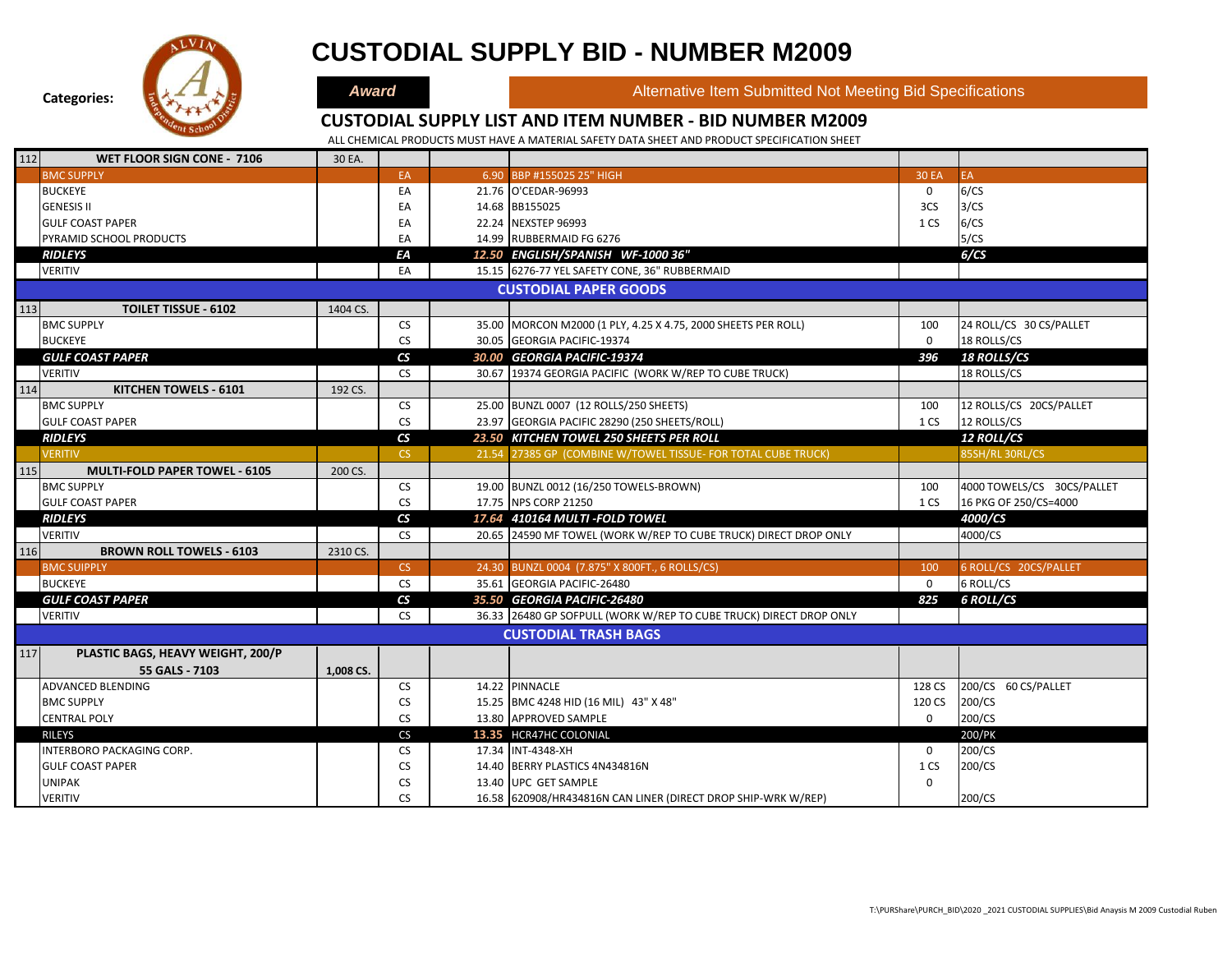

## **CUSTODIAL SUPPLY BID - NUMBER M2009**

**Award Alternative Item Submitted Not Meeting Bid Specifications** 

#### **CUSTODIAL SUPPLY LIST AND ITEM NUMBER - BID NUMBER M2009**

| 112 | WET FLOOR SIGN CONE - 7106           | 30 EA.    |                          |                                                                    |              |                            |
|-----|--------------------------------------|-----------|--------------------------|--------------------------------------------------------------------|--------------|----------------------------|
|     | <b>BMC SUPPLY</b>                    |           | EA                       | 6.90 BBP #155025 25" HIGH                                          | <b>30 EA</b> | EA.                        |
|     | <b>BUCKEYE</b>                       |           | EA                       | 21.76 O'CEDAR-96993                                                | $\mathbf 0$  | 6/CS                       |
|     | <b>GENESIS II</b>                    |           | EA                       | 14.68 BB155025                                                     | 3CS          | 3/CS                       |
|     | <b>GULF COAST PAPER</b>              |           | EA                       | 22.24 NEXSTEP 96993                                                | 1 CS         | 6/CS                       |
|     | PYRAMID SCHOOL PRODUCTS              |           | EA                       | 14.99 RUBBERMAID FG 6276                                           |              | 5/CS                       |
|     | <b>RIDLEYS</b>                       |           | ΕA                       | 12.50 ENGLISH/SPANISH WF-1000 36"                                  |              | 6/CS                       |
|     | <b>VERITIV</b>                       |           | EA                       | 15.15 6276-77 YEL SAFETY CONE, 36" RUBBERMAID                      |              |                            |
|     |                                      |           |                          | <b>CUSTODIAL PAPER GOODS</b>                                       |              |                            |
| 113 | <b>TOILET TISSUE - 6102</b>          | 1404 CS.  |                          |                                                                    |              |                            |
|     | <b>BMC SUPPLY</b>                    |           | <b>CS</b>                | 35.00 MORCON M2000 (1 PLY, 4.25 X 4.75, 2000 SHEETS PER ROLL)      | 100          | 24 ROLL/CS 30 CS/PALLET    |
|     | <b>BUCKEYE</b>                       |           | <b>CS</b>                | 30.05 GEORGIA PACIFIC-19374                                        | $\mathbf 0$  | 18 ROLLS/CS                |
|     | <b>GULF COAST PAPER</b>              |           | $\mathsf{CS}\phantom{0}$ | 30.00 GEORGIA PACIFIC-19374                                        | 396          | <b>18 ROLLS/CS</b>         |
|     | <b>VERITIV</b>                       |           | <b>CS</b>                | 30.67 19374 GEORGIA PACIFIC (WORK W/REP TO CUBE TRUCK)             |              | 18 ROLLS/CS                |
| 114 | KITCHEN TOWELS - 6101                | 192 CS.   |                          |                                                                    |              |                            |
|     | <b>BMC SUPPLY</b>                    |           | <b>CS</b>                | 25.00 BUNZL 0007 (12 ROLLS/250 SHEETS)                             | 100          | 12 ROLLS/CS 20CS/PALLET    |
|     | <b>GULF COAST PAPER</b>              |           | <b>CS</b>                | 23.97 GEORGIA PACIFIC 28290 (250 SHEETS/ROLL)                      | 1 CS         | 12 ROLLS/CS                |
|     | <b>RIDLEYS</b>                       |           | $\mathsf{CS}\phantom{0}$ | 23.50 KITCHEN TOWEL 250 SHEETS PER ROLL                            |              | <b>12 ROLL/CS</b>          |
|     | <b>VERITIV</b>                       |           | CS.                      | 21.54 27385 GP (COMBINE W/TOWEL TISSUE- FOR TOTAL CUBE TRUCK)      |              | 85SH/RL 30RL/CS            |
| 115 | <b>MULTI-FOLD PAPER TOWEL - 6105</b> | 200 CS.   |                          |                                                                    |              |                            |
|     | <b>BMC SUPPLY</b>                    |           | <b>CS</b>                | 19.00 BUNZL 0012 (16/250 TOWELS-BROWN)                             | 100          | 4000 TOWELS/CS 30CS/PALLET |
|     | <b>GULF COAST PAPER</b>              |           | <b>CS</b>                | 17.75 NPS CORP 21250                                               | 1 CS         | 16 PKG OF 250/CS=4000      |
|     | <b>RIDLEYS</b>                       |           | $\mathsf{CS}\phantom{0}$ | 17.64 410164 MULTI - FOLD TOWEL                                    |              | 4000/CS                    |
|     | <b>VERITIV</b>                       |           | <b>CS</b>                | 20.65 24590 MF TOWEL (WORK W/REP TO CUBE TRUCK) DIRECT DROP ONLY   |              | 4000/CS                    |
| 116 | <b>BROWN ROLL TOWELS - 6103</b>      | 2310 CS.  |                          |                                                                    |              |                            |
|     | <b>BMC SUIPPLY</b>                   |           | <b>CS</b>                | 24.30 BUNZL 0004 (7.875" X 800FT., 6 ROLLS/CS)                     | 100          | 6 ROLL/CS 20CS/PALLET      |
|     | <b>BUCKEYE</b>                       |           | <b>CS</b>                | 35.61 GEORGIA PACIFIC-26480                                        | $\mathbf 0$  | 6 ROLL/CS                  |
|     | <b>GULF COAST PAPER</b>              |           | $\mathsf{CS}\phantom{0}$ | 35.50 GEORGIA PACIFIC-26480                                        | 825          | <b>6 ROLL/CS</b>           |
|     | <b>VERITIV</b>                       |           | <b>CS</b>                | 36.33 26480 GP SOFPULL (WORK W/REP TO CUBE TRUCK) DIRECT DROP ONLY |              |                            |
|     |                                      |           |                          | <b>CUSTODIAL TRASH BAGS</b>                                        |              |                            |
| 117 | PLASTIC BAGS, HEAVY WEIGHT, 200/P    |           |                          |                                                                    |              |                            |
|     | 55 GALS - 7103                       | 1,008 CS. |                          |                                                                    |              |                            |
|     | ADVANCED BLENDING                    |           | <b>CS</b>                | 14.22 PINNACLE                                                     | 128 CS       | 200/CS 60 CS/PALLET        |
|     | <b>BMC SUPPLY</b>                    |           | <b>CS</b>                | 15.25 BMC 4248 HID (16 MIL) 43" X 48"                              | 120 CS       | 200/CS                     |
|     | <b>CENTRAL POLY</b>                  |           | <b>CS</b>                | 13.80 APPROVED SAMPLE                                              | $\mathbf 0$  | 200/CS                     |
|     | <b>RILEYS</b>                        |           | CS                       | 13.35 HCR47HC COLONIAL                                             |              | 200/PK                     |
|     | INTERBORO PACKAGING CORP.            |           | <b>CS</b>                | 17.34 INT-4348-XH                                                  | $\mathbf 0$  | 200/CS                     |
|     | <b>GULF COAST PAPER</b>              |           | <b>CS</b>                | 14.40 BERRY PLASTICS 4N434816N                                     | 1 CS         | 200/CS                     |
|     | <b>UNIPAK</b>                        |           | <b>CS</b>                | 13.40 UPC GET SAMPLE                                               | $\mathbf 0$  |                            |
|     | <b>VERITIV</b>                       |           | <b>CS</b>                | 16.58 620908/HR434816N CAN LINER (DIRECT DROP SHIP-WRK W/REP)      |              | 200/CS                     |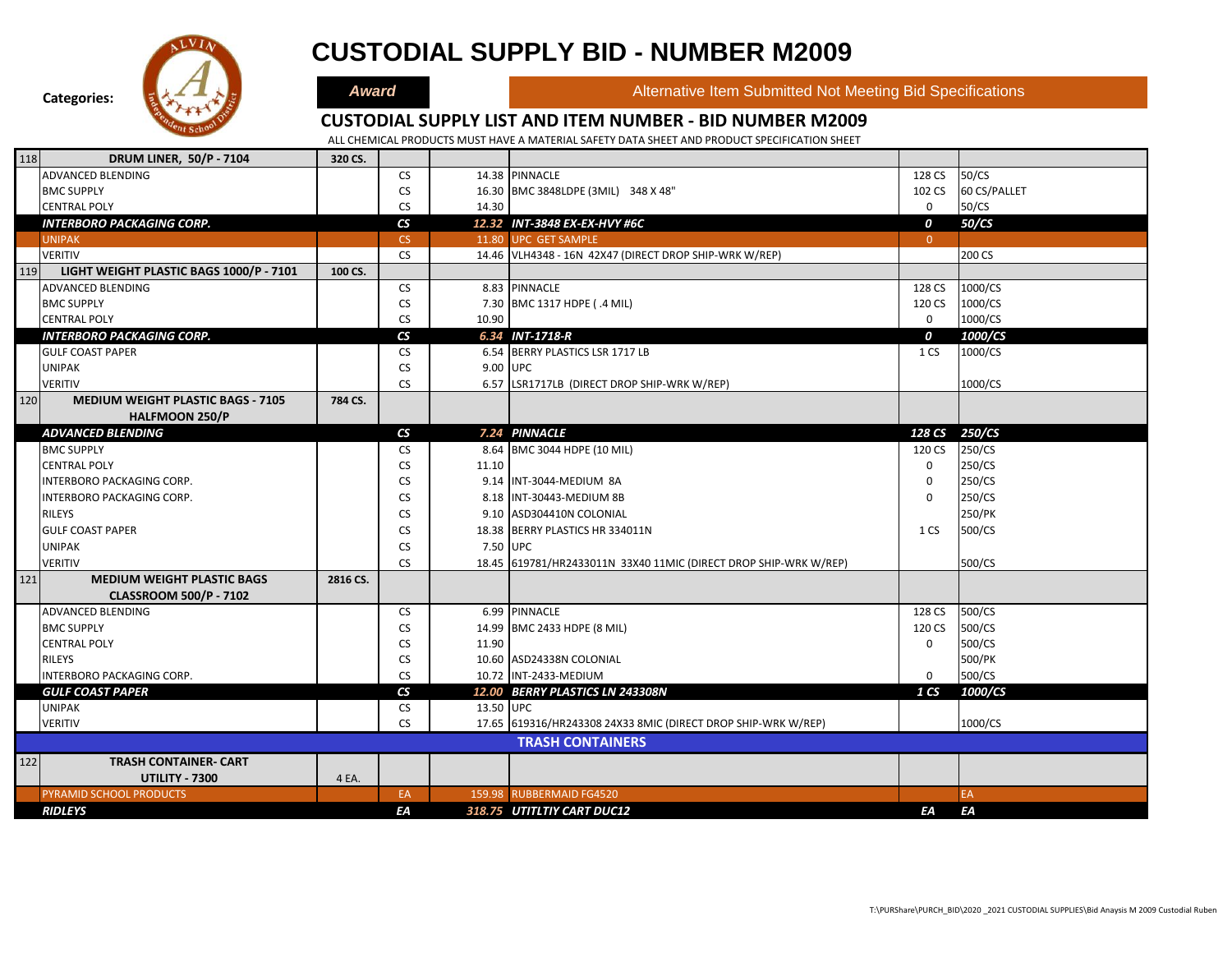

|     | <b>RIDLEYS</b>                           |          | EA                       |           | 318.75 UTITLTIY CART DUC12                                       | EA              | EA            |  |
|-----|------------------------------------------|----------|--------------------------|-----------|------------------------------------------------------------------|-----------------|---------------|--|
|     | PYRAMID SCHOOL PRODUCTS                  |          | EA                       |           | 159.98 RUBBERMAID FG4520                                         |                 | EA            |  |
|     | <b>UTILITY - 7300</b>                    | 4 EA.    |                          |           |                                                                  |                 |               |  |
| 122 | <b>TRASH CONTAINER- CART</b>             |          |                          |           |                                                                  |                 |               |  |
|     |                                          |          |                          |           | <b>TRASH CONTAINERS</b>                                          |                 |               |  |
|     | <b>VERITIV</b>                           |          | <b>CS</b>                |           | 17.65 619316/HR243308 24X33 8MIC (DIRECT DROP SHIP-WRK W/REP)    |                 | 1000/CS       |  |
|     | <b>UNIPAK</b>                            |          | CS                       | 13.50 UPC |                                                                  |                 |               |  |
|     | <b>GULF COAST PAPER</b>                  |          | $\mathsf{CS}\phantom{0}$ |           | 12.00 BERRY PLASTICS LN 243308N                                  | 1 <sub>CS</sub> | 1000/CS       |  |
|     | INTERBORO PACKAGING CORP.                |          | <b>CS</b>                |           | 10.72 INT-2433-MEDIUM                                            | $\Omega$        | 500/CS        |  |
|     | <b>RILEYS</b>                            |          | <b>CS</b>                |           | 10.60 ASD24338N COLONIAL                                         |                 | 500/PK        |  |
|     | <b>CENTRAL POLY</b>                      |          | <b>CS</b>                | 11.90     |                                                                  | $\Omega$        | 500/CS        |  |
|     | <b>BMC SUPPLY</b>                        |          | <b>CS</b>                |           | 14.99 BMC 2433 HDPE (8 MIL)                                      | 120 CS          | 500/CS        |  |
|     | ADVANCED BLENDING                        |          | <b>CS</b>                |           | 6.99 PINNACLE                                                    | 128 CS          | 500/CS        |  |
|     | <b>CLASSROOM 500/P - 7102</b>            |          |                          |           |                                                                  |                 |               |  |
| 121 | <b>MEDIUM WEIGHT PLASTIC BAGS</b>        | 2816 CS. |                          |           |                                                                  |                 |               |  |
|     | <b>VERITIV</b>                           |          | <b>CS</b>                |           | 18.45 619781/HR2433011N 33X40 11MIC (DIRECT DROP SHIP-WRK W/REP) |                 | 500/CS        |  |
|     | <b>UNIPAK</b>                            |          | <b>CS</b>                | 7.50 UPC  |                                                                  |                 |               |  |
|     | <b>GULF COAST PAPER</b>                  |          | <b>CS</b>                |           | 18.38 BERRY PLASTICS HR 334011N                                  | 1 CS            | 500/CS        |  |
|     | <b>RILEYS</b>                            |          | <b>CS</b>                |           | 9.10 ASD304410N COLONIAL                                         |                 | 250/PK        |  |
|     | INTERBORO PACKAGING CORP.                |          | <b>CS</b>                |           | 8.18 INT-30443-MEDIUM 8B                                         | $\Omega$        | 250/CS        |  |
|     | INTERBORO PACKAGING CORP.                |          | <b>CS</b>                |           | 9.14 INT-3044-MEDIUM 8A                                          | 0               | 250/CS        |  |
|     | <b>CENTRAL POLY</b>                      |          | <b>CS</b>                | 11.10     |                                                                  | $\Omega$        | 250/CS        |  |
|     | <b>BMC SUPPLY</b>                        |          | <b>CS</b>                |           | 8.64 BMC 3044 HDPE (10 MIL)                                      | 120 CS          | 250/CS        |  |
|     | <b>ADVANCED BLENDING</b>                 |          | $\mathsf{CS}\phantom{0}$ |           | 7.24 PINNACLE                                                    |                 | 128 CS 250/CS |  |
|     | <b>HALFMOON 250/P</b>                    |          |                          |           |                                                                  |                 |               |  |
| 120 | <b>MEDIUM WEIGHT PLASTIC BAGS - 7105</b> | 784 CS.  |                          |           |                                                                  |                 |               |  |
|     | <b>VERITIV</b>                           |          | <b>CS</b>                |           | 6.57 LSR1717LB (DIRECT DROP SHIP-WRK W/REP)                      |                 | 1000/CS       |  |
|     | <b>UNIPAK</b>                            |          | <b>CS</b>                | 9.00 UPC  |                                                                  |                 |               |  |
|     | <b>GULF COAST PAPER</b>                  |          | <b>CS</b>                |           | 6.54 BERRY PLASTICS LSR 1717 LB                                  | 1 CS            | 1000/CS       |  |
|     | <b>INTERBORO PACKAGING CORP.</b>         |          | $\overline{\mathsf{c}}$  |           | 6.34 INT-1718-R                                                  | 0               | 1000/CS       |  |
|     | <b>CENTRAL POLY</b>                      |          | <b>CS</b>                | 10.90     |                                                                  | $\mathbf 0$     | 1000/CS       |  |
|     | <b>BMC SUPPLY</b>                        |          | <b>CS</b>                |           | 7.30 BMC 1317 HDPE (.4 MIL)                                      | 120 CS          | 1000/CS       |  |
|     | ADVANCED BLENDING                        |          | <b>CS</b>                |           | 8.83 PINNACLE                                                    | 128 CS          | 1000/CS       |  |
| 119 | LIGHT WEIGHT PLASTIC BAGS 1000/P - 7101  | 100 CS.  |                          |           |                                                                  |                 |               |  |
|     | <b>VERITIV</b>                           |          | <b>CS</b>                |           | 14.46 VLH4348 - 16N 42X47 (DIRECT DROP SHIP-WRK W/REP)           |                 | 200 CS        |  |
|     | <b>UNIPAK</b>                            |          | <b>CS</b>                |           | 11.80 UPC GET SAMPLE                                             | $\overline{0}$  |               |  |

**CUSTODIAL SUPPLY BID - NUMBER M2009**

**Categories:**



118 **DRUM LINER, 50/P - 7104 320 CS.**

**Award Alternative Item Submitted Not Meeting Bid Specifications** 

### **CUSTODIAL SUPPLY LIST AND ITEM NUMBER - BID NUMBER M2009**

ALL CHEMICAL PRODUCTS MUST HAVE A MATERIAL SAFETY DATA SHEET AND PRODUCT SPECIFICATION SHEET

**CHEMICALS** 

ADVANCED BLENDING 28 CS 20 CS 20 CS 20 CS 20 CS 20 CS 20 CS 20 CS 30/CS 20 CS 30/CS BMC SUPPLY **Example 20 CS 20 BMC 3848LDPE (3MIL)** 348 X 48" 102 CS 60 CS/PALLET CENTRAL POLY CS 14.30 0 50/CS *INTERBORO PACKAGING CORP. CS 12.32 INT-3848 EX-EX-HVY #6C 0 50/CS*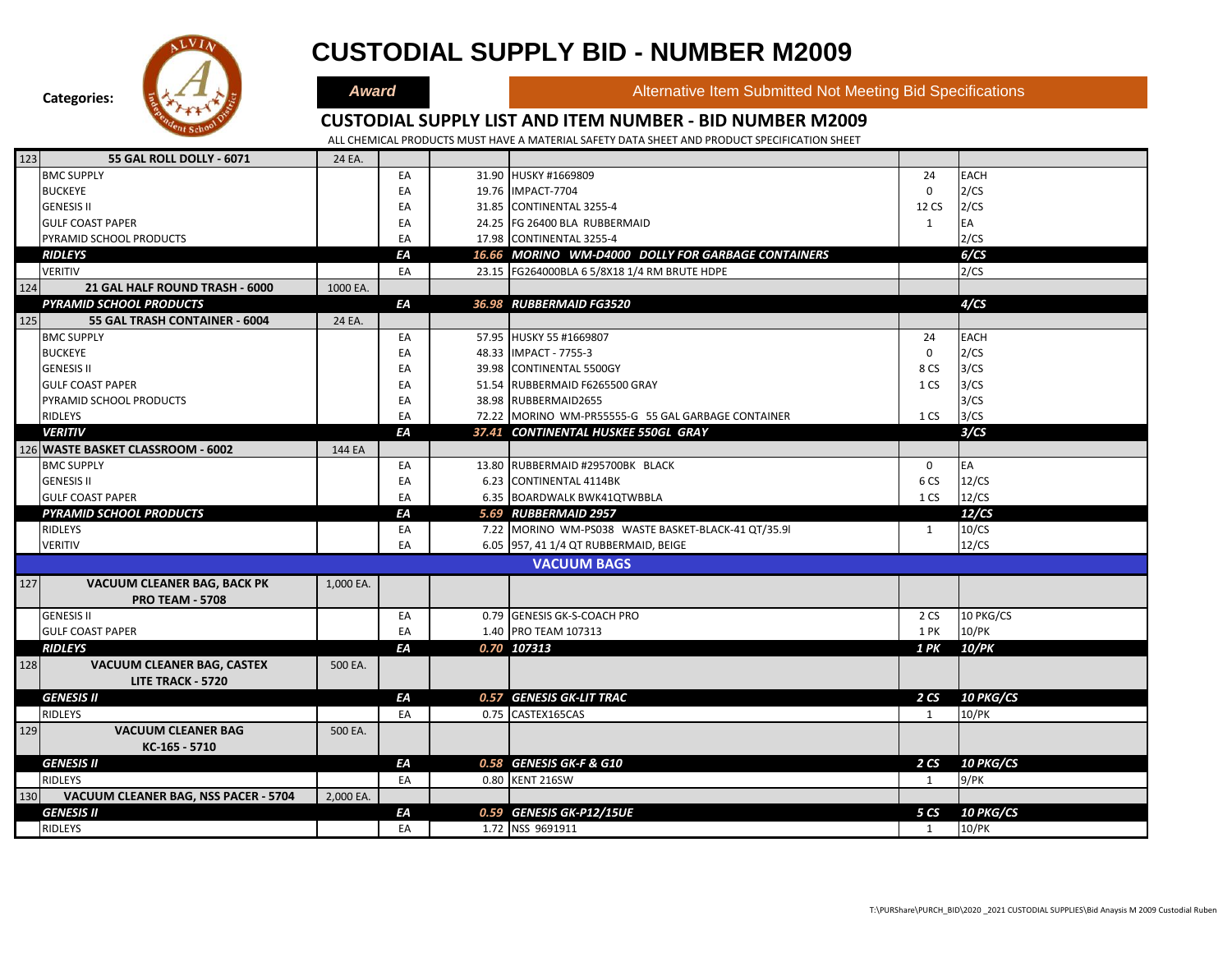

### **CUSTODIAL SUPPLY BID - NUMBER M2009**

**Award Alternative Item Submitted Not Meeting Bid Specifications** 

### **CUSTODIAL SUPPLY LIST AND ITEM NUMBER - BID NUMBER M2009**

| 123 | <b>55 GAL ROLL DOLLY - 6071</b>      | 24 EA     |    |                                                     |              |                  |
|-----|--------------------------------------|-----------|----|-----------------------------------------------------|--------------|------------------|
|     | <b>BMC SUPPLY</b>                    |           | EA | 31.90 HUSKY #1669809                                | 24           | <b>EACH</b>      |
|     | <b>BUCKEYE</b>                       |           | EA | 19.76 IMPACT-7704                                   | 0            | 2/CS             |
|     | <b>GENESIS II</b>                    |           | EA | 31.85 CONTINENTAL 3255-4                            | 12 CS        | 2/CS             |
|     | <b>GULF COAST PAPER</b>              |           | EA | 24.25 FG 26400 BLA RUBBERMAID                       | $\mathbf{1}$ | EA               |
|     | PYRAMID SCHOOL PRODUCTS              |           | EA | 17.98 CONTINENTAL 3255-4                            |              | 2/CS             |
|     | <b>RIDLEYS</b>                       |           | ΕA | 16.66 MORINO WM-D4000 DOLLY FOR GARBAGE CONTAINERS  |              | 6/CS             |
|     | <b>VERITIV</b>                       |           | EA | 23.15 FG264000BLA 6 5/8X18 1/4 RM BRUTE HDPE        |              | 2/CS             |
| 124 | 21 GAL HALF ROUND TRASH - 6000       | 1000 EA.  |    |                                                     |              |                  |
|     | <b>PYRAMID SCHOOL PRODUCTS</b>       |           | ΕA | 36.98 RUBBERMAID FG3520                             |              | 4/CS             |
| 125 | 55 GAL TRASH CONTAINER - 6004        | 24 EA.    |    |                                                     |              |                  |
|     | <b>BMC SUPPLY</b>                    |           | EA | 57.95 HUSKY 55 #1669807                             | 24           | <b>EACH</b>      |
|     | <b>BUCKEYE</b>                       |           | EA | 48.33 IMPACT - 7755-3                               | $\mathbf 0$  | 2/CS             |
|     | <b>GENESIS II</b>                    |           | EA | 39.98 CONTINENTAL 5500GY                            | 8 CS         | 3/CS             |
|     | <b>GULF COAST PAPER</b>              |           | EA | 51.54 RUBBERMAID F6265500 GRAY                      | 1 CS         | 3/CS             |
|     | PYRAMID SCHOOL PRODUCTS              |           | EA | 38.98 RUBBERMAID2655                                |              | 3/CS             |
|     | <b>RIDLEYS</b>                       |           | EA | 72.22 MORINO WM-PR55555-G 55 GAL GARBAGE CONTAINER  | 1 CS         | 3/CS             |
|     | <b>VERITIV</b>                       |           | EA | 37.41 CONTINENTAL HUSKEE 550GL GRAY                 |              | 3/CS             |
|     | 126 WASTE BASKET CLASSROOM - 6002    | 144 EA    |    |                                                     |              |                  |
|     | <b>BMC SUPPLY</b>                    |           | EA | 13.80 RUBBERMAID #295700BK BLACK                    | $\mathbf 0$  | EA               |
|     | <b>GENESIS II</b>                    |           | EA | 6.23 CONTINENTAL 4114BK                             | 6 CS         | 12/CS            |
|     | <b>GULF COAST PAPER</b>              |           | EA | 6.35 BOARDWALK BWK41QTWBBLA                         | 1 CS         | 12/CS            |
|     | <b>PYRAMID SCHOOL PRODUCTS</b>       |           | ΕA | 5.69 RUBBERMAID 2957                                |              | 12/CS            |
|     | RIDLEYS                              |           | EA | 7.22 MORINO WM-PS038 WASTE BASKET-BLACK-41 QT/35.91 | $\mathbf{1}$ | 10/CS            |
|     | <b>VERITIV</b>                       |           | EA | 6.05 957, 41 1/4 QT RUBBERMAID, BEIGE               |              | 12/CS            |
|     |                                      |           |    | <b>VACUUM BAGS</b>                                  |              |                  |
| 127 | <b>VACUUM CLEANER BAG, BACK PK</b>   | 1,000 EA. |    |                                                     |              |                  |
|     | <b>PRO TEAM - 5708</b>               |           |    |                                                     |              |                  |
|     | <b>GENESIS II</b>                    |           | EA | 0.79 GENESIS GK-S-COACH PRO                         | 2 CS         | 10 PKG/CS        |
|     | <b>GULF COAST PAPER</b>              |           | EA | 1.40 PRO TEAM 107313                                | 1 PK         | 10/PK            |
|     | <b>RIDLEYS</b>                       |           | EA | 0.70 107313                                         | 1 PK         | <b>10/PK</b>     |
| 128 | <b>VACUUM CLEANER BAG, CASTEX</b>    | 500 EA.   |    |                                                     |              |                  |
|     | <b>LITE TRACK - 5720</b>             |           |    |                                                     |              |                  |
|     | <b>GENESIS II</b>                    |           | ΕA | 0.57 GENESIS GK-LIT TRAC                            | 2CS          | <b>10 PKG/CS</b> |
|     | <b>RIDLEYS</b>                       |           | EA | 0.75 CASTEX165CAS                                   | 1            | 10/PK            |
| 129 | <b>VACUUM CLEANER BAG</b>            | 500 EA.   |    |                                                     |              |                  |
|     | KC-165 - 5710                        |           |    |                                                     |              |                  |
|     | <b>GENESIS II</b>                    |           | ΕA | 0.58 GENESIS GK-F & G10                             | 2 CS         | <b>10 PKG/CS</b> |
|     | <b>RIDLEYS</b>                       |           | EA | 0.80 KENT 216SW                                     | 1            | 9/PK             |
| 130 | VACUUM CLEANER BAG, NSS PACER - 5704 | 2,000 EA. |    |                                                     |              |                  |
|     | <b>GENESIS II</b>                    |           | FΑ | 0.59 GENESIS GK-P12/15UE                            | 5 CS         | <b>10 PKG/CS</b> |
|     | <b>RIDLEYS</b>                       |           | EA | 1.72 NSS 9691911                                    | 1            | 10/PK            |
|     |                                      |           |    |                                                     |              |                  |